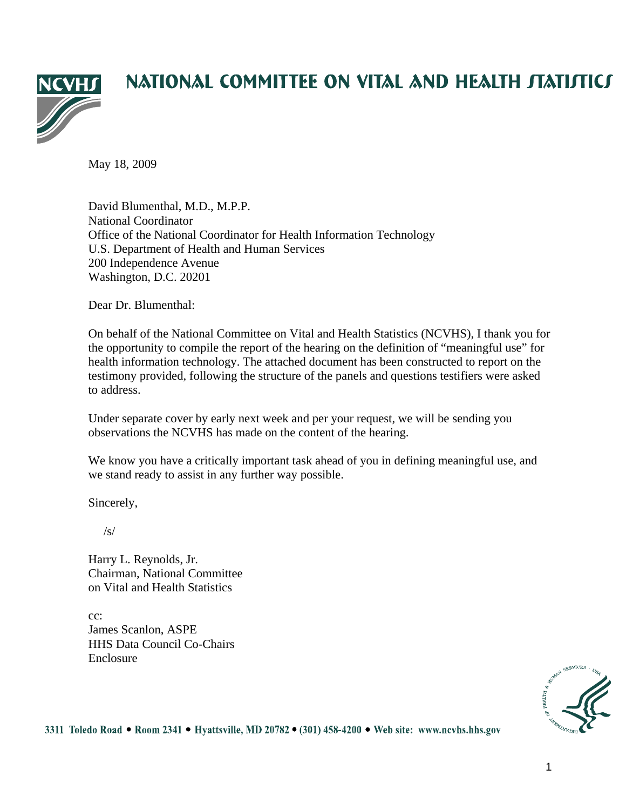

# NATIONAL COMMITTEE ON VITAL AND HEALTH JTATIJTICJ

May 18, 2009

David Blumenthal, M.D., M.P.P. National Coordinator Office of the National Coordinator for Health Information Technology U.S. Department of Health and Human Services 200 Independence Avenue Washington, D.C. 20201

Dear Dr. Blumenthal:

On behalf of the National Committee on Vital and Health Statistics (NCVHS), I thank you for the opportunity to compile the report of the hearing on the definition of "meaningful use" for health information technology. The attached document has been constructed to report on the testimony provided, following the structure of the panels and questions testifiers were asked to address.

Under separate cover by early next week and per your request, we will be sending you observations the NCVHS has made on the content of the hearing.

We know you have a critically important task ahead of you in defining meaningful use, and we stand ready to assist in any further way possible.

Sincerely,

 $\sqrt{s}$ 

Harry L. Reynolds, Jr. Chairman, National Committee on Vital and Health Statistics

cc: James Scanlon, ASPE HHS Data Council Co-Chairs Enclosure



3311 Toledo Road • Room 2341 • Hyattsville, MD 20782 • (301) 458-4200 • Web site: www.ncvhs.hhs.gov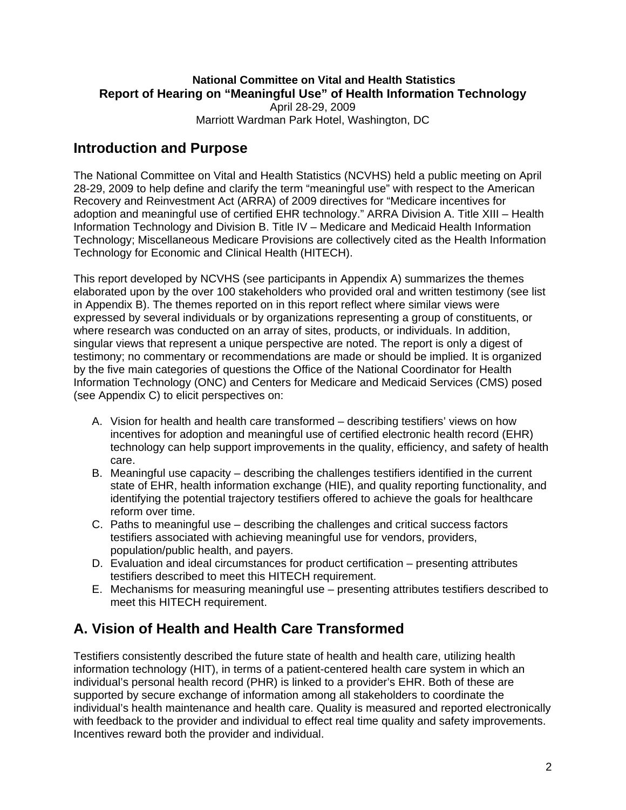### **National Committee on Vital and Health Statistics Report of Hearing on "Meaningful Use" of Health Information Technology**  April 28-29, 2009

Marriott Wardman Park Hotel, Washington, DC

# **Introduction and Purpose**

The National Committee on Vital and Health Statistics (NCVHS) held a public meeting on April 28-29, 2009 to help define and clarify the term "meaningful use" with respect to the American Recovery and Reinvestment Act (ARRA) of 2009 directives for "Medicare incentives for adoption and meaningful use of certified EHR technology." ARRA Division A. Title XIII – Health Information Technology and Division B. Title IV – Medicare and Medicaid Health Information Technology; Miscellaneous Medicare Provisions are collectively cited as the Health Information Technology for Economic and Clinical Health (HITECH).

This report developed by NCVHS (see participants in Appendix A) summarizes the themes elaborated upon by the over 100 stakeholders who provided oral and written testimony (see list in Appendix B). The themes reported on in this report reflect where similar views were expressed by several individuals or by organizations representing a group of constituents, or where research was conducted on an array of sites, products, or individuals. In addition, singular views that represent a unique perspective are noted. The report is only a digest of testimony; no commentary or recommendations are made or should be implied. It is organized by the five main categories of questions the Office of the National Coordinator for Health Information Technology (ONC) and Centers for Medicare and Medicaid Services (CMS) posed (see Appendix C) to elicit perspectives on:

- A. Vision for health and health care transformed describing testifiers' views on how incentives for adoption and meaningful use of certified electronic health record (EHR) technology can help support improvements in the quality, efficiency, and safety of health care.
- B. Meaningful use capacity describing the challenges testifiers identified in the current state of EHR, health information exchange (HIE), and quality reporting functionality, and identifying the potential trajectory testifiers offered to achieve the goals for healthcare reform over time.
- C. Paths to meaningful use describing the challenges and critical success factors testifiers associated with achieving meaningful use for vendors, providers, population/public health, and payers.
- D. Evaluation and ideal circumstances for product certification presenting attributes testifiers described to meet this HITECH requirement.
- E. Mechanisms for measuring meaningful use presenting attributes testifiers described to meet this HITECH requirement.

# **A. Vision of Health and Health Care Transformed**

Testifiers consistently described the future state of health and health care, utilizing health information technology (HIT), in terms of a patient-centered health care system in which an individual's personal health record (PHR) is linked to a provider's EHR. Both of these are supported by secure exchange of information among all stakeholders to coordinate the individual's health maintenance and health care. Quality is measured and reported electronically with feedback to the provider and individual to effect real time quality and safety improvements. Incentives reward both the provider and individual.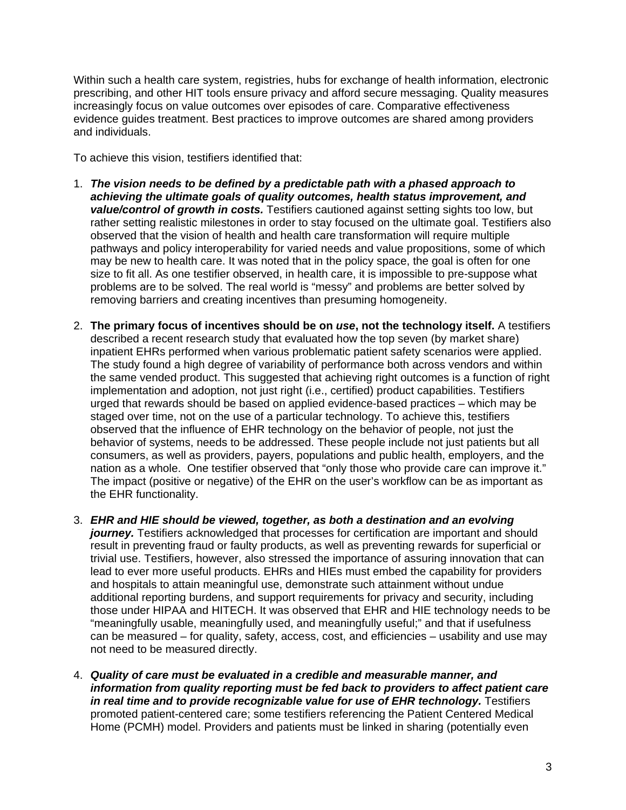Within such a health care system, registries, hubs for exchange of health information, electronic prescribing, and other HIT tools ensure privacy and afford secure messaging. Quality measures increasingly focus on value outcomes over episodes of care. Comparative effectiveness evidence guides treatment. Best practices to improve outcomes are shared among providers and individuals.

To achieve this vision, testifiers identified that:

- 1. *The vision needs to be defined by a predictable path with a phased approach to achieving the ultimate goals of quality outcomes, health status improvement, and value/control of growth in costs.* Testifiers cautioned against setting sights too low, but rather setting realistic milestones in order to stay focused on the ultimate goal. Testifiers also observed that the vision of health and health care transformation will require multiple pathways and policy interoperability for varied needs and value propositions, some of which may be new to health care. It was noted that in the policy space, the goal is often for one size to fit all. As one testifier observed, in health care, it is impossible to pre-suppose what problems are to be solved. The real world is "messy" and problems are better solved by removing barriers and creating incentives than presuming homogeneity.
- 2. **The primary focus of incentives should be on** *use***, not the technology itself.** A testifiers described a recent research study that evaluated how the top seven (by market share) inpatient EHRs performed when various problematic patient safety scenarios were applied. The study found a high degree of variability of performance both across vendors and within the same vended product. This suggested that achieving right outcomes is a function of right implementation and adoption, not just right (i.e., certified) product capabilities. Testifiers urged that rewards should be based on applied evidence-based practices – which may be staged over time, not on the use of a particular technology. To achieve this, testifiers observed that the influence of EHR technology on the behavior of people, not just the behavior of systems, needs to be addressed. These people include not just patients but all consumers, as well as providers, payers, populations and public health, employers, and the nation as a whole. One testifier observed that "only those who provide care can improve it." The impact (positive or negative) of the EHR on the user's workflow can be as important as the EHR functionality.
- 3. *EHR and HIE should be viewed, together, as both a destination and an evolving journey.* Testifiers acknowledged that processes for certification are important and should result in preventing fraud or faulty products, as well as preventing rewards for superficial or trivial use. Testifiers, however, also stressed the importance of assuring innovation that can lead to ever more useful products. EHRs and HIEs must embed the capability for providers and hospitals to attain meaningful use, demonstrate such attainment without undue additional reporting burdens, and support requirements for privacy and security, including those under HIPAA and HITECH. It was observed that EHR and HIE technology needs to be "meaningfully usable, meaningfully used, and meaningfully useful;" and that if usefulness can be measured – for quality, safety, access, cost, and efficiencies – usability and use may not need to be measured directly.
- 4. *Quality of care must be evaluated in a credible and measurable manner, and information from quality reporting must be fed back to providers to affect patient care in real time and to provide recognizable value for use of EHR technology.* Testifiers promoted patient-centered care; some testifiers referencing the Patient Centered Medical Home (PCMH) model. Providers and patients must be linked in sharing (potentially even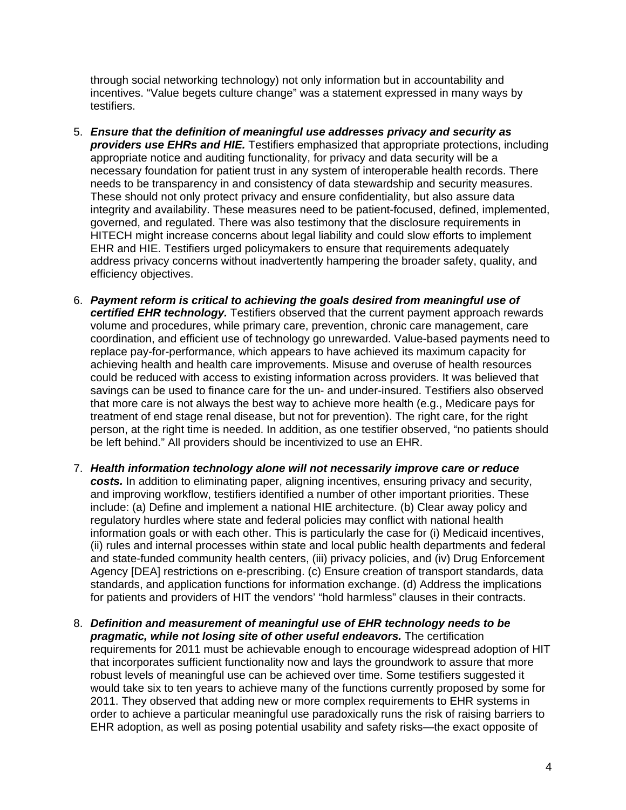through social networking technology) not only information but in accountability and incentives. "Value begets culture change" was a statement expressed in many ways by testifiers.

- 5. *Ensure that the definition of meaningful use addresses privacy and security as providers use EHRs and HIE.* Testifiers emphasized that appropriate protections, including appropriate notice and auditing functionality, for privacy and data security will be a necessary foundation for patient trust in any system of interoperable health records. There needs to be transparency in and consistency of data stewardship and security measures. These should not only protect privacy and ensure confidentiality, but also assure data integrity and availability. These measures need to be patient-focused, defined, implemented, governed, and regulated. There was also testimony that the disclosure requirements in HITECH might increase concerns about legal liability and could slow efforts to implement EHR and HIE. Testifiers urged policymakers to ensure that requirements adequately address privacy concerns without inadvertently hampering the broader safety, quality, and efficiency objectives.
- 6. *Payment reform is critical to achieving the goals desired from meaningful use of certified EHR technology.* Testifiers observed that the current payment approach rewards volume and procedures, while primary care, prevention, chronic care management, care coordination, and efficient use of technology go unrewarded. Value-based payments need to replace pay-for-performance, which appears to have achieved its maximum capacity for achieving health and health care improvements. Misuse and overuse of health resources could be reduced with access to existing information across providers. It was believed that savings can be used to finance care for the un- and under-insured. Testifiers also observed that more care is not always the best way to achieve more health (e.g., Medicare pays for treatment of end stage renal disease, but not for prevention). The right care, for the right person, at the right time is needed. In addition, as one testifier observed, "no patients should be left behind." All providers should be incentivized to use an EHR.
- 7. *Health information technology alone will not necessarily improve care or reduce costs.* In addition to eliminating paper, aligning incentives, ensuring privacy and security, and improving workflow, testifiers identified a number of other important priorities. These include: (a) Define and implement a national HIE architecture. (b) Clear away policy and regulatory hurdles where state and federal policies may conflict with national health information goals or with each other. This is particularly the case for (i) Medicaid incentives, (ii) rules and internal processes within state and local public health departments and federal and state-funded community health centers, (iii) privacy policies, and (iv) Drug Enforcement Agency [DEA] restrictions on e-prescribing. (c) Ensure creation of transport standards, data standards, and application functions for information exchange. (d) Address the implications for patients and providers of HIT the vendors' "hold harmless" clauses in their contracts.
- 8. *Definition and measurement of meaningful use of EHR technology needs to be pragmatic, while not losing site of other useful endeavors.* The certification requirements for 2011 must be achievable enough to encourage widespread adoption of HIT that incorporates sufficient functionality now and lays the groundwork to assure that more robust levels of meaningful use can be achieved over time. Some testifiers suggested it would take six to ten years to achieve many of the functions currently proposed by some for 2011. They observed that adding new or more complex requirements to EHR systems in order to achieve a particular meaningful use paradoxically runs the risk of raising barriers to EHR adoption, as well as posing potential usability and safety risks—the exact opposite of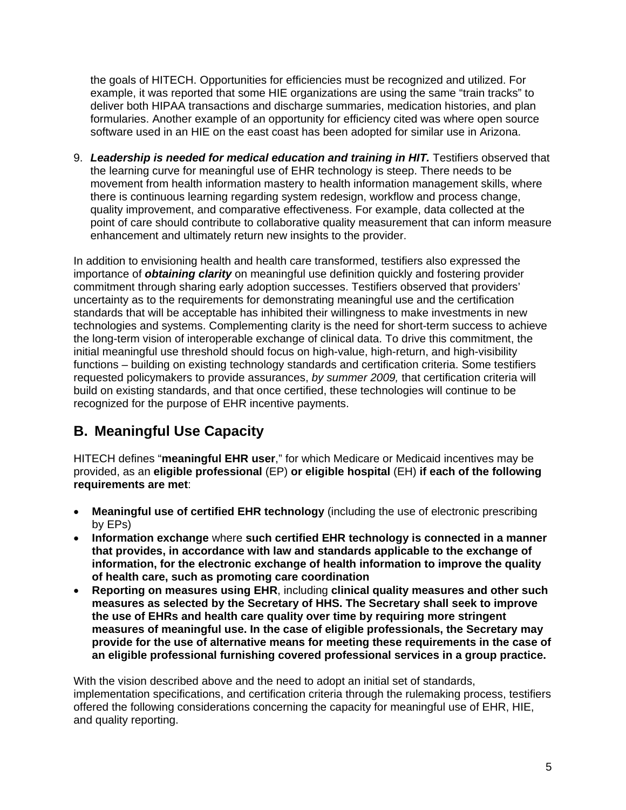the goals of HITECH. Opportunities for efficiencies must be recognized and utilized. For example, it was reported that some HIE organizations are using the same "train tracks" to deliver both HIPAA transactions and discharge summaries, medication histories, and plan formularies. Another example of an opportunity for efficiency cited was where open source software used in an HIE on the east coast has been adopted for similar use in Arizona.

9. *Leadership is needed for medical education and training in HIT.* Testifiers observed that the learning curve for meaningful use of EHR technology is steep. There needs to be movement from health information mastery to health information management skills, where there is continuous learning regarding system redesign, workflow and process change, quality improvement, and comparative effectiveness. For example, data collected at the point of care should contribute to collaborative quality measurement that can inform measure enhancement and ultimately return new insights to the provider.

In addition to envisioning health and health care transformed, testifiers also expressed the importance of *obtaining clarity* on meaningful use definition quickly and fostering provider commitment through sharing early adoption successes. Testifiers observed that providers' uncertainty as to the requirements for demonstrating meaningful use and the certification standards that will be acceptable has inhibited their willingness to make investments in new technologies and systems. Complementing clarity is the need for short-term success to achieve the long-term vision of interoperable exchange of clinical data. To drive this commitment, the initial meaningful use threshold should focus on high-value, high-return, and high-visibility functions – building on existing technology standards and certification criteria. Some testifiers requested policymakers to provide assurances, *by summer 2009,* that certification criteria will build on existing standards, and that once certified, these technologies will continue to be recognized for the purpose of EHR incentive payments.

# **B. Meaningful Use Capacity**

HITECH defines "**meaningful EHR user**," for which Medicare or Medicaid incentives may be provided, as an **eligible professional** (EP) **or eligible hospital** (EH) **if each of the following requirements are met**:

- **Meaningful use of certified EHR technology** (including the use of electronic prescribing by EPs)
- **Information exchange** where **such certified EHR technology is connected in a manner that provides, in accordance with law and standards applicable to the exchange of information, for the electronic exchange of health information to improve the quality of health care, such as promoting care coordination**
- **Reporting on measures using EHR**, including **clinical quality measures and other such measures as selected by the Secretary of HHS. The Secretary shall seek to improve the use of EHRs and health care quality over time by requiring more stringent measures of meaningful use. In the case of eligible professionals, the Secretary may provide for the use of alternative means for meeting these requirements in the case of an eligible professional furnishing covered professional services in a group practice.**

With the vision described above and the need to adopt an initial set of standards, implementation specifications, and certification criteria through the rulemaking process, testifiers offered the following considerations concerning the capacity for meaningful use of EHR, HIE, and quality reporting.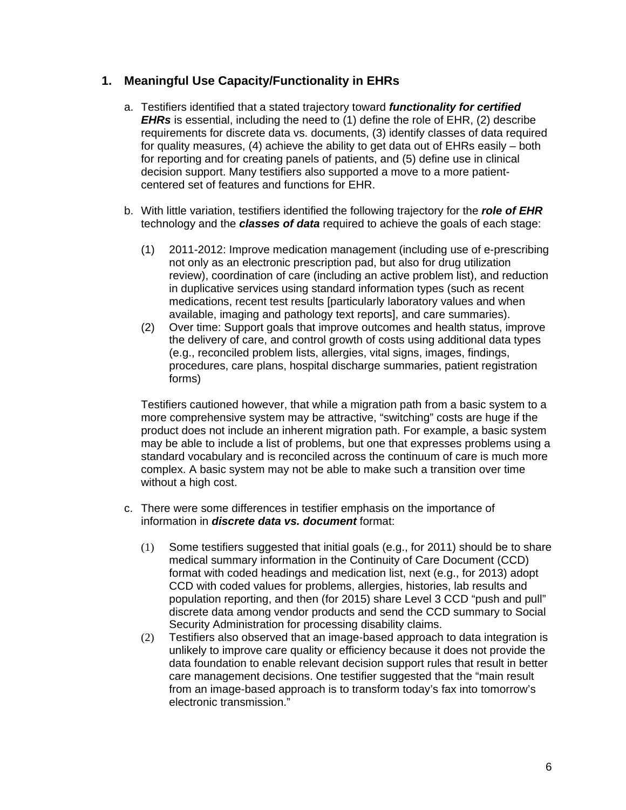### **1. Meaningful Use Capacity/Functionality in EHRs**

- a. Testifiers identified that a stated trajectory toward *functionality for certified EHRs* is essential, including the need to (1) define the role of EHR, (2) describe requirements for discrete data vs. documents, (3) identify classes of data required for quality measures, (4) achieve the ability to get data out of EHRs easily – both for reporting and for creating panels of patients, and (5) define use in clinical decision support. Many testifiers also supported a move to a more patientcentered set of features and functions for EHR.
- b. With little variation, testifiers identified the following trajectory for the *role of EHR* technology and the *classes of data* required to achieve the goals of each stage:
	- (1) 2011-2012: Improve medication management (including use of e-prescribing not only as an electronic prescription pad, but also for drug utilization review), coordination of care (including an active problem list), and reduction in duplicative services using standard information types (such as recent medications, recent test results [particularly laboratory values and when available, imaging and pathology text reports], and care summaries).
	- (2) Over time: Support goals that improve outcomes and health status, improve the delivery of care, and control growth of costs using additional data types (e.g., reconciled problem lists, allergies, vital signs, images, findings, procedures, care plans, hospital discharge summaries, patient registration forms)

Testifiers cautioned however, that while a migration path from a basic system to a more comprehensive system may be attractive, "switching" costs are huge if the product does not include an inherent migration path. For example, a basic system may be able to include a list of problems, but one that expresses problems using a standard vocabulary and is reconciled across the continuum of care is much more complex. A basic system may not be able to make such a transition over time without a high cost.

- c. There were some differences in testifier emphasis on the importance of information in *discrete data vs. document* format:
	- (1) Some testifiers suggested that initial goals (e.g., for 2011) should be to share medical summary information in the Continuity of Care Document (CCD) format with coded headings and medication list, next (e.g., for 2013) adopt CCD with coded values for problems, allergies, histories, lab results and population reporting, and then (for 2015) share Level 3 CCD "push and pull" discrete data among vendor products and send the CCD summary to Social Security Administration for processing disability claims.
	- (2) Testifiers also observed that an image-based approach to data integration is unlikely to improve care quality or efficiency because it does not provide the data foundation to enable relevant decision support rules that result in better care management decisions. One testifier suggested that the "main result from an image-based approach is to transform today's fax into tomorrow's electronic transmission."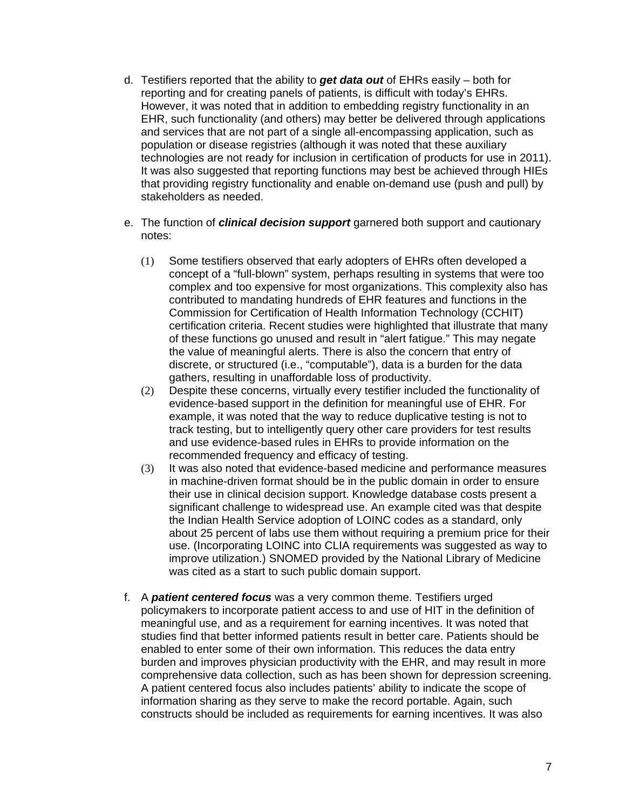- d. Testifiers reported that the ability to *get data out* of EHRs easily both for reporting and for creating panels of patients, is difficult with today's EHRs. However, it was noted that in addition to embedding registry functionality in an EHR, such functionality (and others) may better be delivered through applications and services that are not part of a single all-encompassing application, such as population or disease registries (although it was noted that these auxiliary technologies are not ready for inclusion in certification of products for use in 2011). It was also suggested that reporting functions may best be achieved through HIEs that providing registry functionality and enable on-demand use (push and pull) by stakeholders as needed.
- e. The function of *clinical decision support* garnered both support and cautionary notes:
	- (1) Some testifiers observed that early adopters of EHRs often developed a concept of a "full-blown" system, perhaps resulting in systems that were too complex and too expensive for most organizations. This complexity also has contributed to mandating hundreds of EHR features and functions in the Commission for Certification of Health Information Technology (CCHIT) certification criteria. Recent studies were highlighted that illustrate that many of these functions go unused and result in "alert fatigue." This may negate the value of meaningful alerts. There is also the concern that entry of discrete, or structured (i.e., "computable"), data is a burden for the data gathers, resulting in unaffordable loss of productivity.
	- (2) Despite these concerns, virtually every testifier included the functionality of evidence-based support in the definition for meaningful use of EHR. For example, it was noted that the way to reduce duplicative testing is not to track testing, but to intelligently query other care providers for test results and use evidence-based rules in EHRs to provide information on the recommended frequency and efficacy of testing.
	- (3) It was also noted that evidence-based medicine and performance measures in machine-driven format should be in the public domain in order to ensure their use in clinical decision support. Knowledge database costs present a significant challenge to widespread use. An example cited was that despite the Indian Health Service adoption of LOINC codes as a standard, only about 25 percent of labs use them without requiring a premium price for their use. (Incorporating LOINC into CLIA requirements was suggested as way to improve utilization.) SNOMED provided by the National Library of Medicine was cited as a start to such public domain support.
- f. A *patient centered focus* was a very common theme. Testifiers urged policymakers to incorporate patient access to and use of HIT in the definition of meaningful use, and as a requirement for earning incentives. It was noted that studies find that better informed patients result in better care. Patients should be enabled to enter some of their own information. This reduces the data entry burden and improves physician productivity with the EHR, and may result in more comprehensive data collection, such as has been shown for depression screening. A patient centered focus also includes patients' ability to indicate the scope of information sharing as they serve to make the record portable. Again, such constructs should be included as requirements for earning incentives. It was also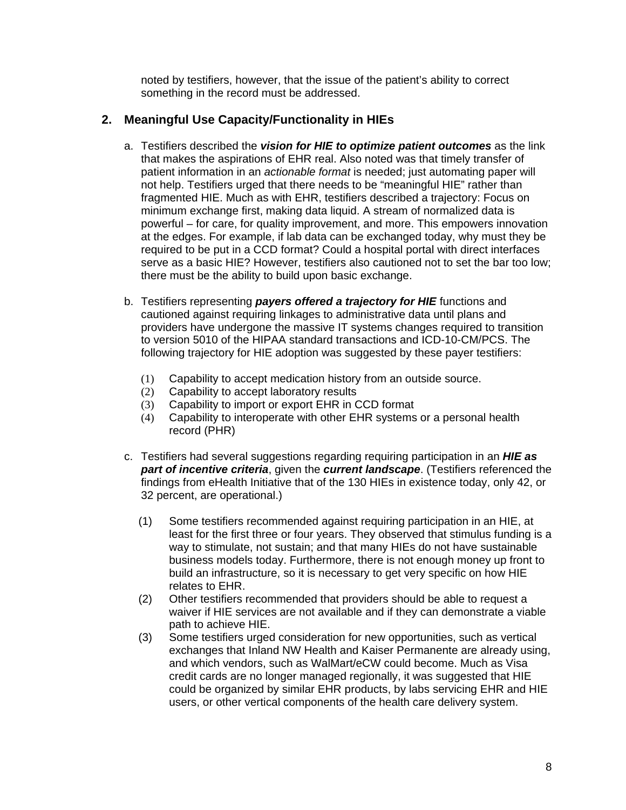noted by testifiers, however, that the issue of the patient's ability to correct something in the record must be addressed.

### **2. Meaningful Use Capacity/Functionality in HIEs**

- a. Testifiers described the *vision for HIE to optimize patient outcomes* as the link that makes the aspirations of EHR real. Also noted was that timely transfer of patient information in an *actionable format* is needed; just automating paper will not help. Testifiers urged that there needs to be "meaningful HIE" rather than fragmented HIE. Much as with EHR, testifiers described a trajectory: Focus on minimum exchange first, making data liquid. A stream of normalized data is powerful – for care, for quality improvement, and more. This empowers innovation at the edges. For example, if lab data can be exchanged today, why must they be required to be put in a CCD format? Could a hospital portal with direct interfaces serve as a basic HIE? However, testifiers also cautioned not to set the bar too low; there must be the ability to build upon basic exchange.
- b. Testifiers representing *payers offered a trajectory for HIE* functions and cautioned against requiring linkages to administrative data until plans and providers have undergone the massive IT systems changes required to transition to version 5010 of the HIPAA standard transactions and ICD-10-CM/PCS. The following trajectory for HIE adoption was suggested by these payer testifiers:
	- (1) Capability to accept medication history from an outside source.
	- (2) Capability to accept laboratory results
	- (3) Capability to import or export EHR in CCD format
	- (4) Capability to interoperate with other EHR systems or a personal health record (PHR)
- c. Testifiers had several suggestions regarding requiring participation in an *HIE as part of incentive criteria*, given the *current landscape*. (Testifiers referenced the findings from eHealth Initiative that of the 130 HIEs in existence today, only 42, or 32 percent, are operational.)
	- (1) Some testifiers recommended against requiring participation in an HIE, at least for the first three or four years. They observed that stimulus funding is a way to stimulate, not sustain; and that many HIEs do not have sustainable business models today. Furthermore, there is not enough money up front to build an infrastructure, so it is necessary to get very specific on how HIE relates to EHR.
	- (2) Other testifiers recommended that providers should be able to request a waiver if HIE services are not available and if they can demonstrate a viable path to achieve HIE.
	- (3) Some testifiers urged consideration for new opportunities, such as vertical exchanges that Inland NW Health and Kaiser Permanente are already using, and which vendors, such as WalMart/eCW could become. Much as Visa credit cards are no longer managed regionally, it was suggested that HIE could be organized by similar EHR products, by labs servicing EHR and HIE users, or other vertical components of the health care delivery system.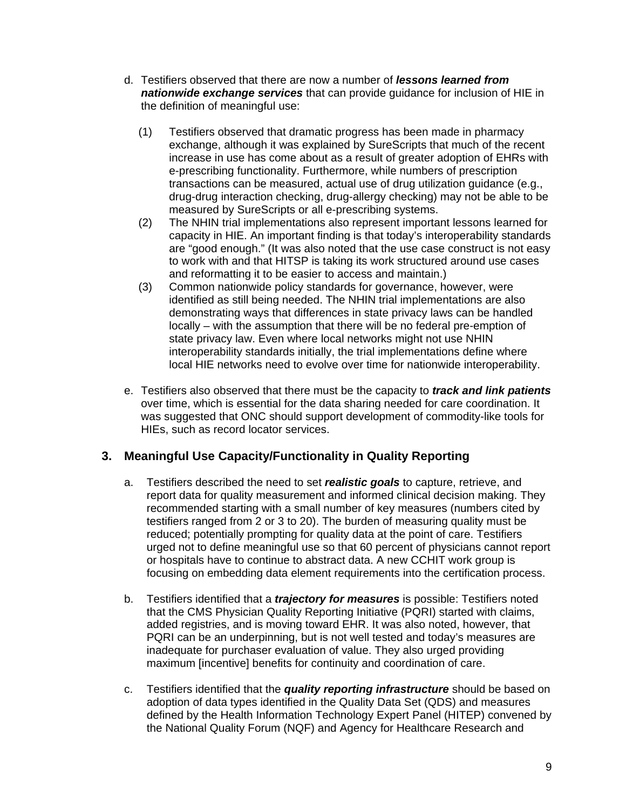- d. Testifiers observed that there are now a number of *lessons learned from nationwide exchange services* that can provide guidance for inclusion of HIE in the definition of meaningful use:
	- (1) Testifiers observed that dramatic progress has been made in pharmacy exchange, although it was explained by SureScripts that much of the recent increase in use has come about as a result of greater adoption of EHRs with e-prescribing functionality. Furthermore, while numbers of prescription transactions can be measured, actual use of drug utilization guidance (e.g., drug-drug interaction checking, drug-allergy checking) may not be able to be measured by SureScripts or all e-prescribing systems.
	- (2) The NHIN trial implementations also represent important lessons learned for capacity in HIE. An important finding is that today's interoperability standards are "good enough." (It was also noted that the use case construct is not easy to work with and that HITSP is taking its work structured around use cases and reformatting it to be easier to access and maintain.)
	- (3) Common nationwide policy standards for governance, however, were identified as still being needed. The NHIN trial implementations are also demonstrating ways that differences in state privacy laws can be handled locally – with the assumption that there will be no federal pre-emption of state privacy law. Even where local networks might not use NHIN interoperability standards initially, the trial implementations define where local HIE networks need to evolve over time for nationwide interoperability.
- e. Testifiers also observed that there must be the capacity to *track and link patients* over time, which is essential for the data sharing needed for care coordination. It was suggested that ONC should support development of commodity-like tools for HIEs, such as record locator services.

### **3. Meaningful Use Capacity/Functionality in Quality Reporting**

- a. Testifiers described the need to set *realistic goals* to capture, retrieve, and report data for quality measurement and informed clinical decision making. They recommended starting with a small number of key measures (numbers cited by testifiers ranged from 2 or 3 to 20). The burden of measuring quality must be reduced; potentially prompting for quality data at the point of care. Testifiers urged not to define meaningful use so that 60 percent of physicians cannot report or hospitals have to continue to abstract data. A new CCHIT work group is focusing on embedding data element requirements into the certification process.
- b. Testifiers identified that a *trajectory for measures* is possible: Testifiers noted that the CMS Physician Quality Reporting Initiative (PQRI) started with claims, added registries, and is moving toward EHR. It was also noted, however, that PQRI can be an underpinning, but is not well tested and today's measures are inadequate for purchaser evaluation of value. They also urged providing maximum [incentive] benefits for continuity and coordination of care.
- c. Testifiers identified that the *quality reporting infrastructure* should be based on adoption of data types identified in the Quality Data Set (QDS) and measures defined by the Health Information Technology Expert Panel (HITEP) convened by the National Quality Forum (NQF) and Agency for Healthcare Research and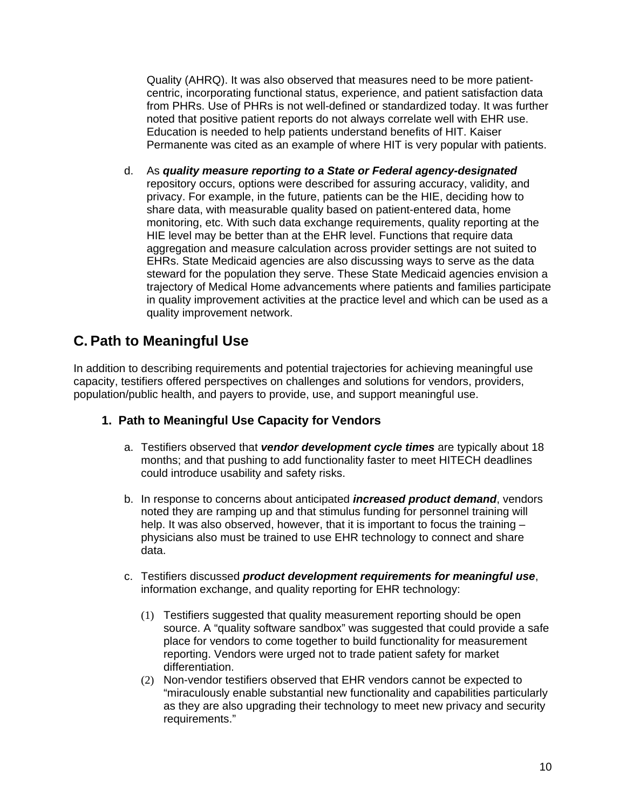Quality (AHRQ). It was also observed that measures need to be more patientcentric, incorporating functional status, experience, and patient satisfaction data from PHRs. Use of PHRs is not well-defined or standardized today. It was further noted that positive patient reports do not always correlate well with EHR use. Education is needed to help patients understand benefits of HIT. Kaiser Permanente was cited as an example of where HIT is very popular with patients.

d. As *quality measure reporting to a State or Federal agency-designated* repository occurs, options were described for assuring accuracy, validity, and privacy. For example, in the future, patients can be the HIE, deciding how to share data, with measurable quality based on patient-entered data, home monitoring, etc. With such data exchange requirements, quality reporting at the HIE level may be better than at the EHR level. Functions that require data aggregation and measure calculation across provider settings are not suited to EHRs. State Medicaid agencies are also discussing ways to serve as the data steward for the population they serve. These State Medicaid agencies envision a trajectory of Medical Home advancements where patients and families participate in quality improvement activities at the practice level and which can be used as a quality improvement network.

# **C. Path to Meaningful Use**

In addition to describing requirements and potential trajectories for achieving meaningful use capacity, testifiers offered perspectives on challenges and solutions for vendors, providers, population/public health, and payers to provide, use, and support meaningful use.

### **1. Path to Meaningful Use Capacity for Vendors**

- a. Testifiers observed that *vendor development cycle times* are typically about 18 months; and that pushing to add functionality faster to meet HITECH deadlines could introduce usability and safety risks.
- b. In response to concerns about anticipated *increased product demand*, vendors noted they are ramping up and that stimulus funding for personnel training will help. It was also observed, however, that it is important to focus the training – physicians also must be trained to use EHR technology to connect and share data.
- c. Testifiers discussed *product development requirements for meaningful use*, information exchange, and quality reporting for EHR technology:
	- (1) Testifiers suggested that quality measurement reporting should be open source. A "quality software sandbox" was suggested that could provide a safe place for vendors to come together to build functionality for measurement reporting. Vendors were urged not to trade patient safety for market differentiation.
	- (2) Non-vendor testifiers observed that EHR vendors cannot be expected to "miraculously enable substantial new functionality and capabilities particularly as they are also upgrading their technology to meet new privacy and security requirements."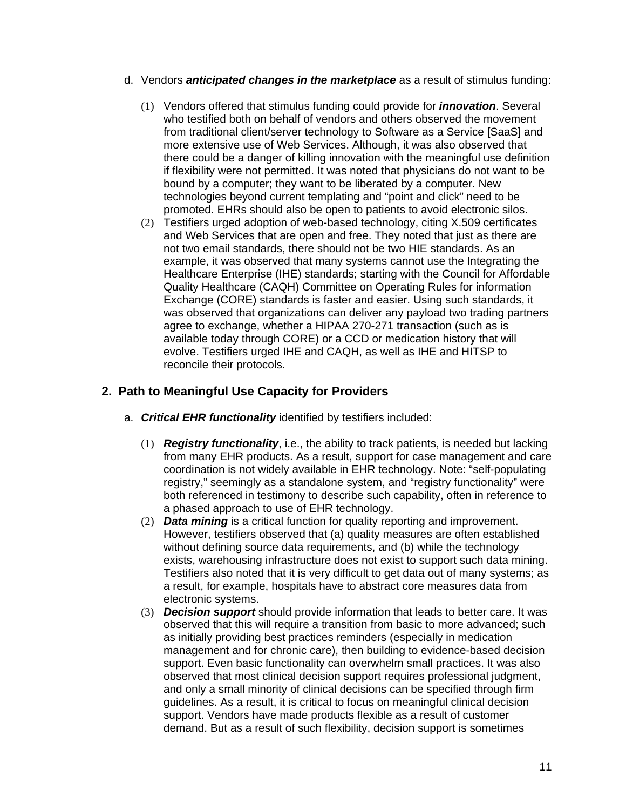- d. Vendors *anticipated changes in the marketplace* as a result of stimulus funding:
	- (1) Vendors offered that stimulus funding could provide for *innovation*. Several who testified both on behalf of vendors and others observed the movement from traditional client/server technology to Software as a Service [SaaS] and more extensive use of Web Services. Although, it was also observed that there could be a danger of killing innovation with the meaningful use definition if flexibility were not permitted. It was noted that physicians do not want to be bound by a computer; they want to be liberated by a computer. New technologies beyond current templating and "point and click" need to be promoted. EHRs should also be open to patients to avoid electronic silos.
	- (2) Testifiers urged adoption of web-based technology, citing X.509 certificates and Web Services that are open and free. They noted that just as there are not two email standards, there should not be two HIE standards. As an example, it was observed that many systems cannot use the Integrating the Healthcare Enterprise (IHE) standards; starting with the Council for Affordable Quality Healthcare (CAQH) Committee on Operating Rules for information Exchange (CORE) standards is faster and easier. Using such standards, it was observed that organizations can deliver any payload two trading partners agree to exchange, whether a HIPAA 270-271 transaction (such as is available today through CORE) or a CCD or medication history that will evolve. Testifiers urged IHE and CAQH, as well as IHE and HITSP to reconcile their protocols.

### **2. Path to Meaningful Use Capacity for Providers**

- a. *Critical EHR functionality* identified by testifiers included:
	- (1) *Registry functionality*, i.e., the ability to track patients, is needed but lacking from many EHR products. As a result, support for case management and care coordination is not widely available in EHR technology. Note: "self-populating registry," seemingly as a standalone system, and "registry functionality" were both referenced in testimony to describe such capability, often in reference to a phased approach to use of EHR technology.
	- (2) *Data mining* is a critical function for quality reporting and improvement. However, testifiers observed that (a) quality measures are often established without defining source data requirements, and (b) while the technology exists, warehousing infrastructure does not exist to support such data mining. Testifiers also noted that it is very difficult to get data out of many systems; as a result, for example, hospitals have to abstract core measures data from electronic systems.
	- (3) *Decision support* should provide information that leads to better care. It was observed that this will require a transition from basic to more advanced; such as initially providing best practices reminders (especially in medication management and for chronic care), then building to evidence-based decision support. Even basic functionality can overwhelm small practices. It was also observed that most clinical decision support requires professional judgment, and only a small minority of clinical decisions can be specified through firm guidelines. As a result, it is critical to focus on meaningful clinical decision support. Vendors have made products flexible as a result of customer demand. But as a result of such flexibility, decision support is sometimes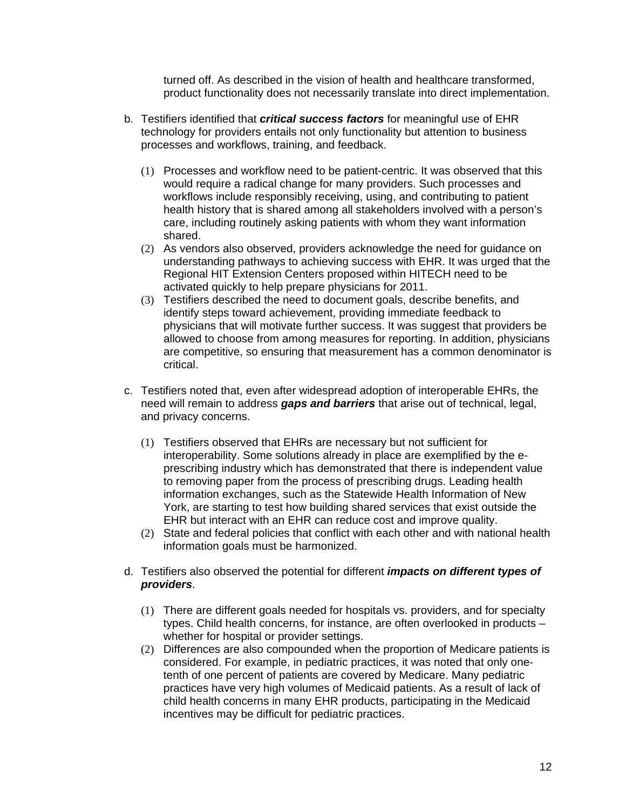turned off. As described in the vision of health and healthcare transformed, product functionality does not necessarily translate into direct implementation.

- b. Testifiers identified that *critical success factors* for meaningful use of EHR technology for providers entails not only functionality but attention to business processes and workflows, training, and feedback.
	- (1) Processes and workflow need to be patient-centric. It was observed that this would require a radical change for many providers. Such processes and workflows include responsibly receiving, using, and contributing to patient health history that is shared among all stakeholders involved with a person's care, including routinely asking patients with whom they want information shared.
	- (2) As vendors also observed, providers acknowledge the need for guidance on understanding pathways to achieving success with EHR. It was urged that the Regional HIT Extension Centers proposed within HITECH need to be activated quickly to help prepare physicians for 2011.
	- (3) Testifiers described the need to document goals, describe benefits, and identify steps toward achievement, providing immediate feedback to physicians that will motivate further success. It was suggest that providers be allowed to choose from among measures for reporting. In addition, physicians are competitive, so ensuring that measurement has a common denominator is critical.
- c. Testifiers noted that, even after widespread adoption of interoperable EHRs, the need will remain to address *gaps and barriers* that arise out of technical, legal, and privacy concerns.
	- (1) Testifiers observed that EHRs are necessary but not sufficient for interoperability. Some solutions already in place are exemplified by the eprescribing industry which has demonstrated that there is independent value to removing paper from the process of prescribing drugs. Leading health information exchanges, such as the Statewide Health Information of New York, are starting to test how building shared services that exist outside the EHR but interact with an EHR can reduce cost and improve quality.
	- (2) State and federal policies that conflict with each other and with national health information goals must be harmonized.
- d. Testifiers also observed the potential for different *impacts on different types of providers*.
	- (1) There are different goals needed for hospitals vs. providers, and for specialty types. Child health concerns, for instance, are often overlooked in products – whether for hospital or provider settings.
	- (2) Differences are also compounded when the proportion of Medicare patients is considered. For example, in pediatric practices, it was noted that only onetenth of one percent of patients are covered by Medicare. Many pediatric practices have very high volumes of Medicaid patients. As a result of lack of child health concerns in many EHR products, participating in the Medicaid incentives may be difficult for pediatric practices.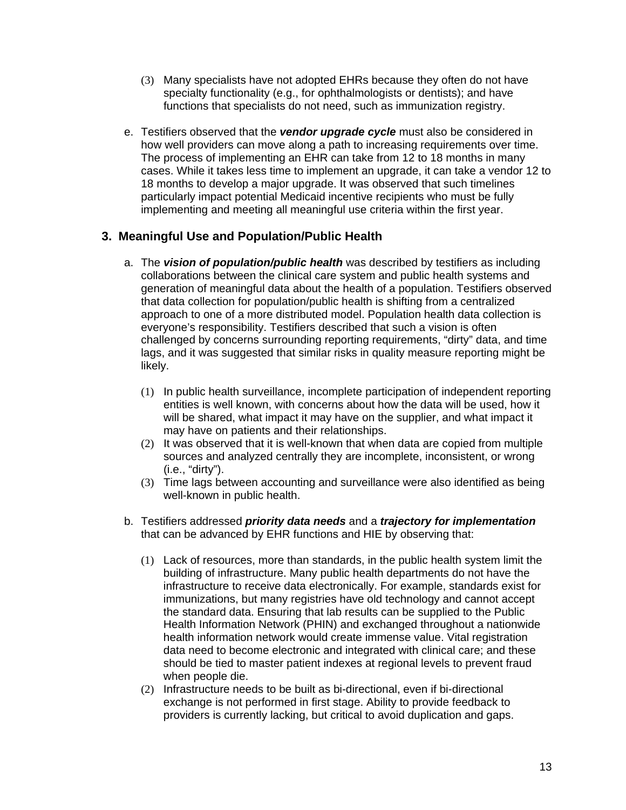- (3) Many specialists have not adopted EHRs because they often do not have specialty functionality (e.g., for ophthalmologists or dentists); and have functions that specialists do not need, such as immunization registry.
- e. Testifiers observed that the *vendor upgrade cycle* must also be considered in how well providers can move along a path to increasing requirements over time. The process of implementing an EHR can take from 12 to 18 months in many cases. While it takes less time to implement an upgrade, it can take a vendor 12 to 18 months to develop a major upgrade. It was observed that such timelines particularly impact potential Medicaid incentive recipients who must be fully implementing and meeting all meaningful use criteria within the first year.

### **3. Meaningful Use and Population/Public Health**

- a. The *vision of population/public health* was described by testifiers as including collaborations between the clinical care system and public health systems and generation of meaningful data about the health of a population. Testifiers observed that data collection for population/public health is shifting from a centralized approach to one of a more distributed model. Population health data collection is everyone's responsibility. Testifiers described that such a vision is often challenged by concerns surrounding reporting requirements, "dirty" data, and time lags, and it was suggested that similar risks in quality measure reporting might be likely.
	- (1) In public health surveillance, incomplete participation of independent reporting entities is well known, with concerns about how the data will be used, how it will be shared, what impact it may have on the supplier, and what impact it may have on patients and their relationships.
	- (2) It was observed that it is well-known that when data are copied from multiple sources and analyzed centrally they are incomplete, inconsistent, or wrong (i.e., "dirty").
	- (3) Time lags between accounting and surveillance were also identified as being well-known in public health.
- b. Testifiers addressed *priority data needs* and a *trajectory for implementation* that can be advanced by EHR functions and HIE by observing that:
	- (1) Lack of resources, more than standards, in the public health system limit the building of infrastructure. Many public health departments do not have the infrastructure to receive data electronically. For example, standards exist for immunizations, but many registries have old technology and cannot accept the standard data. Ensuring that lab results can be supplied to the Public Health Information Network (PHIN) and exchanged throughout a nationwide health information network would create immense value. Vital registration data need to become electronic and integrated with clinical care; and these should be tied to master patient indexes at regional levels to prevent fraud when people die.
	- (2) Infrastructure needs to be built as bi-directional, even if bi-directional exchange is not performed in first stage. Ability to provide feedback to providers is currently lacking, but critical to avoid duplication and gaps.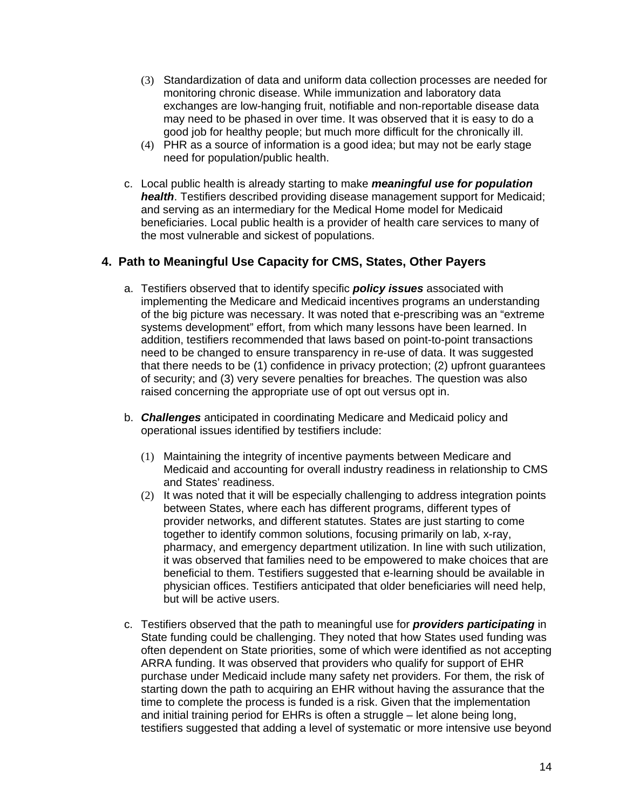- (3) Standardization of data and uniform data collection processes are needed for monitoring chronic disease. While immunization and laboratory data exchanges are low-hanging fruit, notifiable and non-reportable disease data may need to be phased in over time. It was observed that it is easy to do a good job for healthy people; but much more difficult for the chronically ill.
- (4) PHR as a source of information is a good idea; but may not be early stage need for population/public health.
- c. Local public health is already starting to make *meaningful use for population health*. Testifiers described providing disease management support for Medicaid; and serving as an intermediary for the Medical Home model for Medicaid beneficiaries. Local public health is a provider of health care services to many of the most vulnerable and sickest of populations.

### **4. Path to Meaningful Use Capacity for CMS, States, Other Payers**

- a. Testifiers observed that to identify specific *policy issues* associated with implementing the Medicare and Medicaid incentives programs an understanding of the big picture was necessary. It was noted that e-prescribing was an "extreme systems development" effort, from which many lessons have been learned. In addition, testifiers recommended that laws based on point-to-point transactions need to be changed to ensure transparency in re-use of data. It was suggested that there needs to be (1) confidence in privacy protection; (2) upfront guarantees of security; and (3) very severe penalties for breaches. The question was also raised concerning the appropriate use of opt out versus opt in.
- b. *Challenges* anticipated in coordinating Medicare and Medicaid policy and operational issues identified by testifiers include:
	- (1) Maintaining the integrity of incentive payments between Medicare and Medicaid and accounting for overall industry readiness in relationship to CMS and States' readiness.
	- (2) It was noted that it will be especially challenging to address integration points between States, where each has different programs, different types of provider networks, and different statutes. States are just starting to come together to identify common solutions, focusing primarily on lab, x-ray, pharmacy, and emergency department utilization. In line with such utilization, it was observed that families need to be empowered to make choices that are beneficial to them. Testifiers suggested that e-learning should be available in physician offices. Testifiers anticipated that older beneficiaries will need help, but will be active users.
- c. Testifiers observed that the path to meaningful use for *providers participating* in State funding could be challenging. They noted that how States used funding was often dependent on State priorities, some of which were identified as not accepting ARRA funding. It was observed that providers who qualify for support of EHR purchase under Medicaid include many safety net providers. For them, the risk of starting down the path to acquiring an EHR without having the assurance that the time to complete the process is funded is a risk. Given that the implementation and initial training period for EHRs is often a struggle – let alone being long, testifiers suggested that adding a level of systematic or more intensive use beyond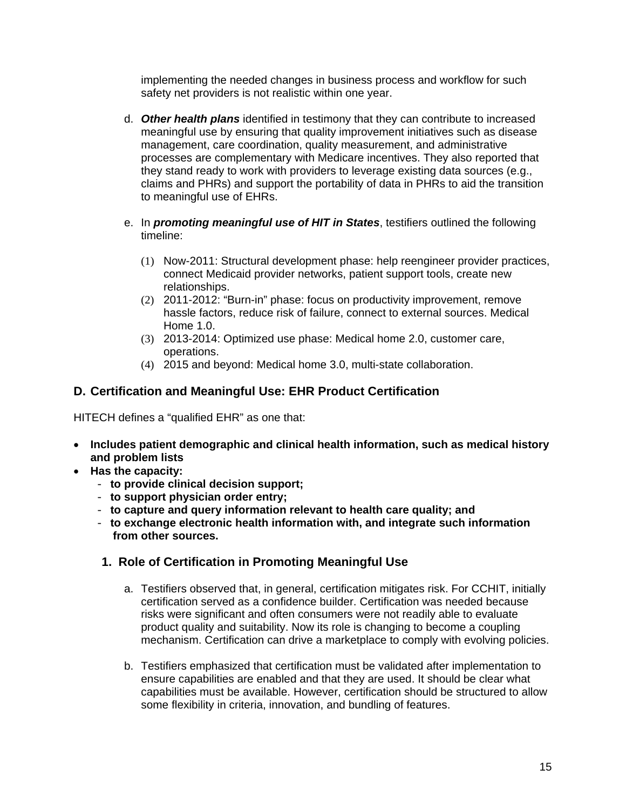implementing the needed changes in business process and workflow for such safety net providers is not realistic within one year.

- d. *Other health plans* identified in testimony that they can contribute to increased meaningful use by ensuring that quality improvement initiatives such as disease management, care coordination, quality measurement, and administrative processes are complementary with Medicare incentives. They also reported that they stand ready to work with providers to leverage existing data sources (e.g., claims and PHRs) and support the portability of data in PHRs to aid the transition to meaningful use of EHRs.
- e. In *promoting meaningful use of HIT in States*, testifiers outlined the following timeline:
	- (1) Now-2011: Structural development phase: help reengineer provider practices, connect Medicaid provider networks, patient support tools, create new relationships.
	- (2) 2011-2012: "Burn-in" phase: focus on productivity improvement, remove hassle factors, reduce risk of failure, connect to external sources. Medical Home 1.0.
	- (3) 2013-2014: Optimized use phase: Medical home 2.0, customer care, operations.
	- (4) 2015 and beyond: Medical home 3.0, multi-state collaboration.

### **D. Certification and Meaningful Use: EHR Product Certification**

HITECH defines a "qualified EHR" as one that:

- **Includes patient demographic and clinical health information, such as medical history and problem lists**
- **Has the capacity:** 
	- **to provide clinical decision support;**
	- **to support physician order entry;**
	- **to capture and query information relevant to health care quality; and**
	- **to exchange electronic health information with, and integrate such information from other sources.**

### **1. Role of Certification in Promoting Meaningful Use**

- a. Testifiers observed that, in general, certification mitigates risk. For CCHIT, initially certification served as a confidence builder. Certification was needed because risks were significant and often consumers were not readily able to evaluate product quality and suitability. Now its role is changing to become a coupling mechanism. Certification can drive a marketplace to comply with evolving policies.
- b. Testifiers emphasized that certification must be validated after implementation to ensure capabilities are enabled and that they are used. It should be clear what capabilities must be available. However, certification should be structured to allow some flexibility in criteria, innovation, and bundling of features.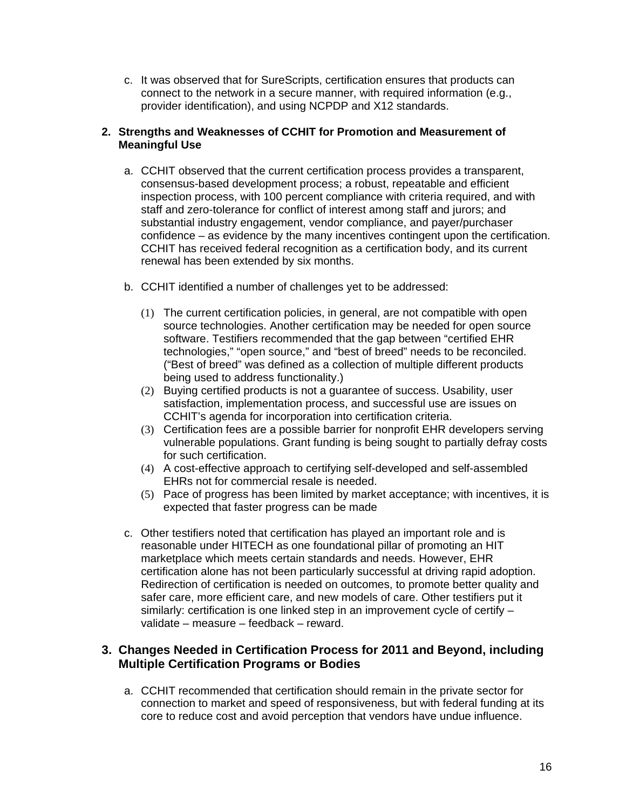c. It was observed that for SureScripts, certification ensures that products can connect to the network in a secure manner, with required information (e.g., provider identification), and using NCPDP and X12 standards.

### **2. Strengths and Weaknesses of CCHIT for Promotion and Measurement of Meaningful Use**

- a. CCHIT observed that the current certification process provides a transparent, consensus-based development process; a robust, repeatable and efficient inspection process, with 100 percent compliance with criteria required, and with staff and zero-tolerance for conflict of interest among staff and jurors; and substantial industry engagement, vendor compliance, and payer/purchaser confidence – as evidence by the many incentives contingent upon the certification. CCHIT has received federal recognition as a certification body, and its current renewal has been extended by six months.
- b. CCHIT identified a number of challenges yet to be addressed:
	- (1) The current certification policies, in general, are not compatible with open source technologies. Another certification may be needed for open source software. Testifiers recommended that the gap between "certified EHR technologies," "open source," and "best of breed" needs to be reconciled. ("Best of breed" was defined as a collection of multiple different products being used to address functionality.)
	- (2) Buying certified products is not a guarantee of success. Usability, user satisfaction, implementation process, and successful use are issues on CCHIT's agenda for incorporation into certification criteria.
	- (3) Certification fees are a possible barrier for nonprofit EHR developers serving vulnerable populations. Grant funding is being sought to partially defray costs for such certification.
	- (4) A cost-effective approach to certifying self-developed and self-assembled EHRs not for commercial resale is needed.
	- (5) Pace of progress has been limited by market acceptance; with incentives, it is expected that faster progress can be made
- c. Other testifiers noted that certification has played an important role and is reasonable under HITECH as one foundational pillar of promoting an HIT marketplace which meets certain standards and needs. However, EHR certification alone has not been particularly successful at driving rapid adoption. Redirection of certification is needed on outcomes, to promote better quality and safer care, more efficient care, and new models of care. Other testifiers put it similarly: certification is one linked step in an improvement cycle of certify – validate – measure – feedback – reward.

### **3. Changes Needed in Certification Process for 2011 and Beyond, including Multiple Certification Programs or Bodies**

a. CCHIT recommended that certification should remain in the private sector for connection to market and speed of responsiveness, but with federal funding at its core to reduce cost and avoid perception that vendors have undue influence.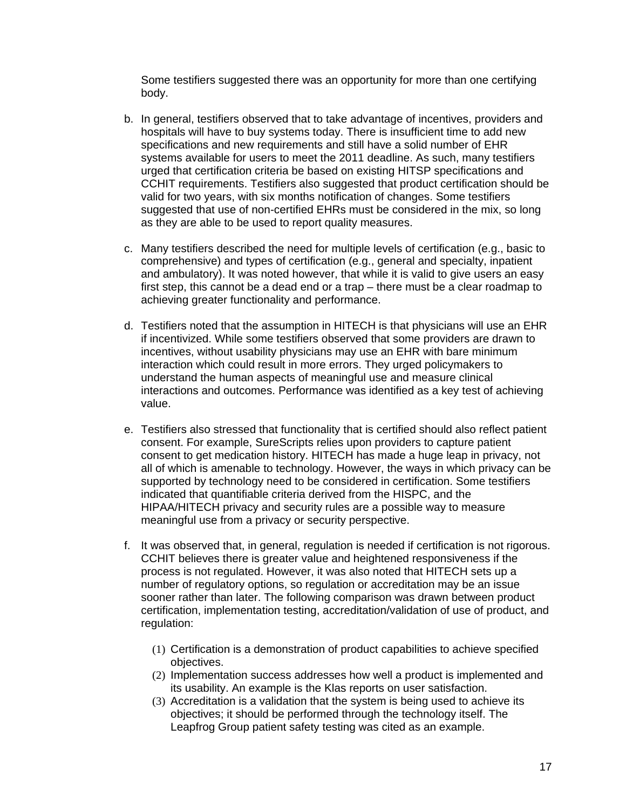Some testifiers suggested there was an opportunity for more than one certifying body.

- b. In general, testifiers observed that to take advantage of incentives, providers and hospitals will have to buy systems today. There is insufficient time to add new specifications and new requirements and still have a solid number of EHR systems available for users to meet the 2011 deadline. As such, many testifiers urged that certification criteria be based on existing HITSP specifications and CCHIT requirements. Testifiers also suggested that product certification should be valid for two years, with six months notification of changes. Some testifiers suggested that use of non-certified EHRs must be considered in the mix, so long as they are able to be used to report quality measures.
- c. Many testifiers described the need for multiple levels of certification (e.g., basic to comprehensive) and types of certification (e.g., general and specialty, inpatient and ambulatory). It was noted however, that while it is valid to give users an easy first step, this cannot be a dead end or a trap – there must be a clear roadmap to achieving greater functionality and performance.
- d. Testifiers noted that the assumption in HITECH is that physicians will use an EHR if incentivized. While some testifiers observed that some providers are drawn to incentives, without usability physicians may use an EHR with bare minimum interaction which could result in more errors. They urged policymakers to understand the human aspects of meaningful use and measure clinical interactions and outcomes. Performance was identified as a key test of achieving value.
- e. Testifiers also stressed that functionality that is certified should also reflect patient consent. For example, SureScripts relies upon providers to capture patient consent to get medication history. HITECH has made a huge leap in privacy, not all of which is amenable to technology. However, the ways in which privacy can be supported by technology need to be considered in certification. Some testifiers indicated that quantifiable criteria derived from the HISPC, and the HIPAA/HITECH privacy and security rules are a possible way to measure meaningful use from a privacy or security perspective.
- f. It was observed that, in general, regulation is needed if certification is not rigorous. CCHIT believes there is greater value and heightened responsiveness if the process is not regulated. However, it was also noted that HITECH sets up a number of regulatory options, so regulation or accreditation may be an issue sooner rather than later. The following comparison was drawn between product certification, implementation testing, accreditation/validation of use of product, and regulation:
	- (1) Certification is a demonstration of product capabilities to achieve specified objectives.
	- (2) Implementation success addresses how well a product is implemented and its usability. An example is the Klas reports on user satisfaction.
	- (3) Accreditation is a validation that the system is being used to achieve its objectives; it should be performed through the technology itself. The Leapfrog Group patient safety testing was cited as an example.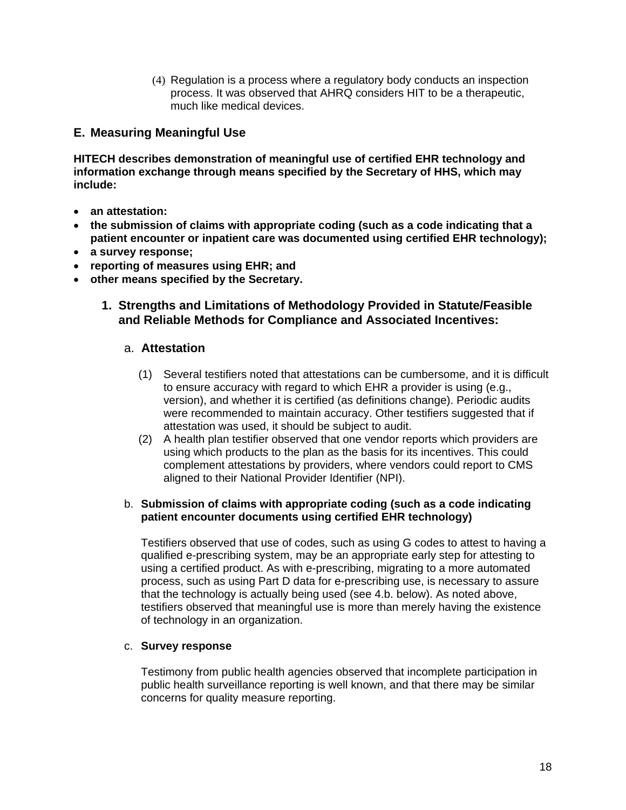(4) Regulation is a process where a regulatory body conducts an inspection process. It was observed that AHRQ considers HIT to be a therapeutic, much like medical devices.

### **E. Measuring Meaningful Use**

**HITECH describes demonstration of meaningful use of certified EHR technology and information exchange through means specified by the Secretary of HHS, which may include:**

- **an attestation:**
- **the submission of claims with appropriate coding (such as a code indicating that a patient encounter or inpatient care was documented using certified EHR technology);**
- **a survey response;**
- **reporting of measures using EHR; and**
- **other means specified by the Secretary.**

### **1. Strengths and Limitations of Methodology Provided in Statute/Feasible and Reliable Methods for Compliance and Associated Incentives:**

### a. **Attestation**

- (1) Several testifiers noted that attestations can be cumbersome, and it is difficult to ensure accuracy with regard to which EHR a provider is using (e.g., version), and whether it is certified (as definitions change). Periodic audits were recommended to maintain accuracy. Other testifiers suggested that if attestation was used, it should be subject to audit.
- (2) A health plan testifier observed that one vendor reports which providers are using which products to the plan as the basis for its incentives. This could complement attestations by providers, where vendors could report to CMS aligned to their National Provider Identifier (NPI).

### b. **Submission of claims with appropriate coding (such as a code indicating patient encounter documents using certified EHR technology)**

Testifiers observed that use of codes, such as using G codes to attest to having a qualified e-prescribing system, may be an appropriate early step for attesting to using a certified product. As with e-prescribing, migrating to a more automated process, such as using Part D data for e-prescribing use, is necessary to assure that the technology is actually being used (see 4.b. below). As noted above, testifiers observed that meaningful use is more than merely having the existence of technology in an organization.

#### c. **Survey response**

Testimony from public health agencies observed that incomplete participation in public health surveillance reporting is well known, and that there may be similar concerns for quality measure reporting.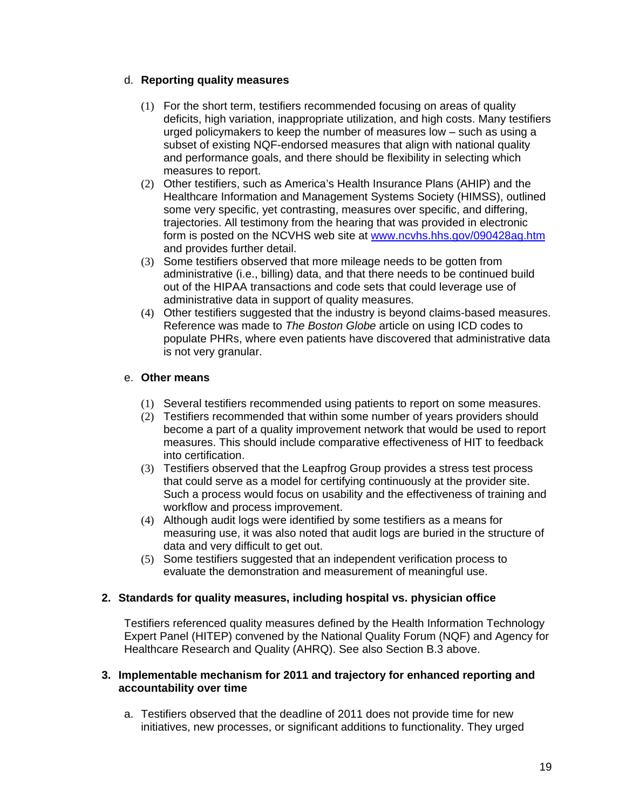### d. **Reporting quality measures**

- (1) For the short term, testifiers recommended focusing on areas of quality deficits, high variation, inappropriate utilization, and high costs. Many testifiers urged policymakers to keep the number of measures low – such as using a subset of existing NQF-endorsed measures that align with national quality and performance goals, and there should be flexibility in selecting which measures to report.
- (2) Other testifiers, such as America's Health Insurance Plans (AHIP) and the Healthcare Information and Management Systems Society (HIMSS), outlined some very specific, yet contrasting, measures over specific, and differing, trajectories. All testimony from the hearing that was provided in electronic form is posted on the NCVHS web site at [www.ncvhs.hhs.gov/090428ag.htm](http://www.ncvhs.hhs.gov/090428ag.htm) and provides further detail.
- (3) Some testifiers observed that more mileage needs to be gotten from administrative (i.e., billing) data, and that there needs to be continued build out of the HIPAA transactions and code sets that could leverage use of administrative data in support of quality measures.
- (4) Other testifiers suggested that the industry is beyond claims-based measures. Reference was made to *The Boston Globe* article on using ICD codes to populate PHRs, where even patients have discovered that administrative data is not very granular.

### e. **Other means**

- (1) Several testifiers recommended using patients to report on some measures.
- (2) Testifiers recommended that within some number of years providers should become a part of a quality improvement network that would be used to report measures. This should include comparative effectiveness of HIT to feedback into certification.
- (3) Testifiers observed that the Leapfrog Group provides a stress test process that could serve as a model for certifying continuously at the provider site. Such a process would focus on usability and the effectiveness of training and workflow and process improvement.
- (4) Although audit logs were identified by some testifiers as a means for measuring use, it was also noted that audit logs are buried in the structure of data and very difficult to get out.
- (5) Some testifiers suggested that an independent verification process to evaluate the demonstration and measurement of meaningful use.

### **2. Standards for quality measures, including hospital vs. physician office**

Testifiers referenced quality measures defined by the Health Information Technology Expert Panel (HITEP) convened by the National Quality Forum (NQF) and Agency for Healthcare Research and Quality (AHRQ). See also Section B.3 above.

### **3. Implementable mechanism for 2011 and trajectory for enhanced reporting and accountability over time**

a. Testifiers observed that the deadline of 2011 does not provide time for new initiatives, new processes, or significant additions to functionality. They urged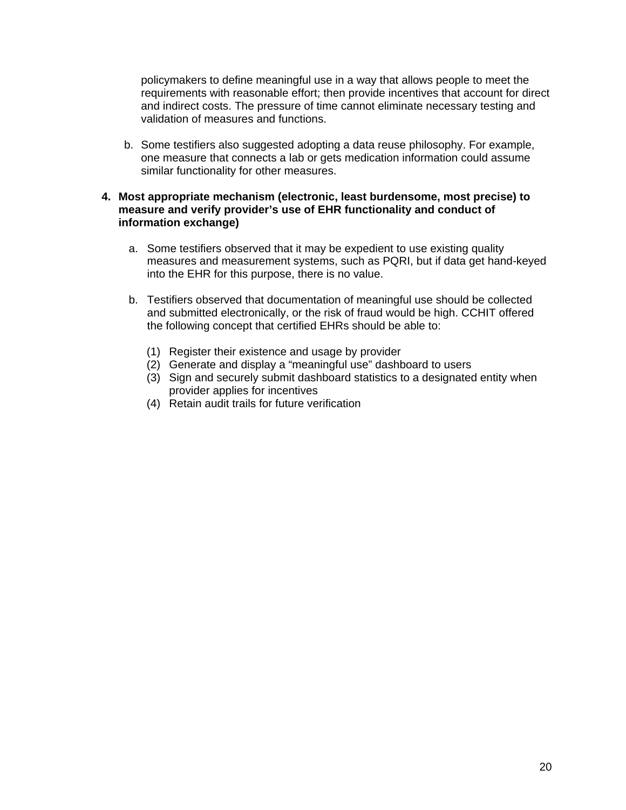policymakers to define meaningful use in a way that allows people to meet the requirements with reasonable effort; then provide incentives that account for direct and indirect costs. The pressure of time cannot eliminate necessary testing and validation of measures and functions.

b. Some testifiers also suggested adopting a data reuse philosophy. For example, one measure that connects a lab or gets medication information could assume similar functionality for other measures.

### **4. Most appropriate mechanism (electronic, least burdensome, most precise) to measure and verify provider's use of EHR functionality and conduct of information exchange)**

- a. Some testifiers observed that it may be expedient to use existing quality measures and measurement systems, such as PQRI, but if data get hand-keyed into the EHR for this purpose, there is no value.
- b. Testifiers observed that documentation of meaningful use should be collected and submitted electronically, or the risk of fraud would be high. CCHIT offered the following concept that certified EHRs should be able to:
	- (1) Register their existence and usage by provider
	- (2) Generate and display a "meaningful use" dashboard to users
	- (3) Sign and securely submit dashboard statistics to a designated entity when provider applies for incentives
	- (4) Retain audit trails for future verification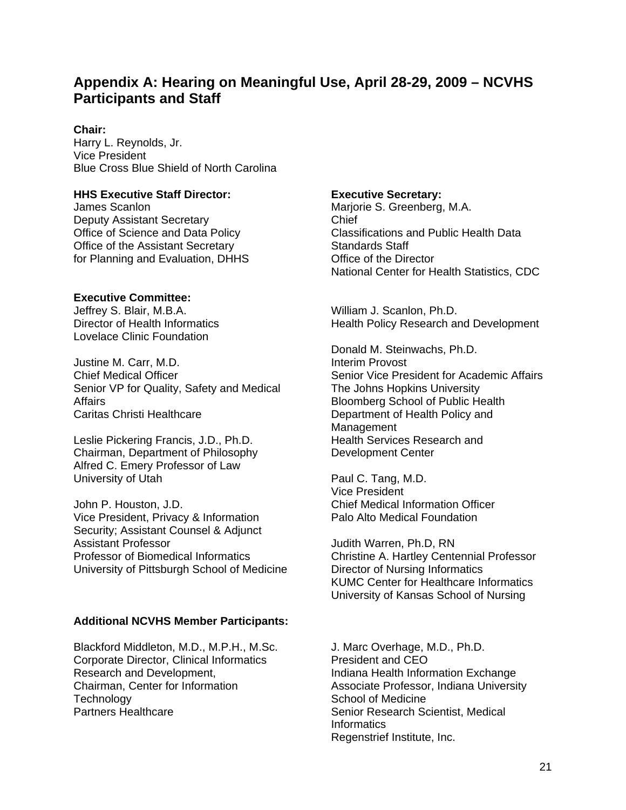# **Appendix A: Hearing on Meaningful Use, April 28-29, 2009 – NCVHS Participants and Staff**

### **Chair:**

Harry L. Reynolds, Jr. Vice President Blue Cross Blue Shield of North Carolina

### **HHS Executive Staff Director:**

James Scanlon Deputy Assistant Secretary Office of Science and Data Policy Office of the Assistant Secretary for Planning and Evaluation, DHHS

### **Executive Committee:**

Jeffrey S. Blair, M.B.A. Director of Health Informatics Lovelace Clinic Foundation

Justine M. Carr, M.D. Chief Medical Officer Senior VP for Quality, Safety and Medical **Affairs** Caritas Christi Healthcare

Leslie Pickering Francis, J.D., Ph.D. Chairman, Department of Philosophy Alfred C. Emery Professor of Law University of Utah

John P. Houston, J.D. Vice President, Privacy & Information Security; Assistant Counsel & Adjunct Assistant Professor Professor of Biomedical Informatics University of Pittsburgh School of Medicine

### **Additional NCVHS Member Participants:**

Blackford Middleton, M.D., M.P.H., M.Sc. Corporate Director, Clinical Informatics Research and Development, Chairman, Center for Information **Technology** Partners Healthcare

### **Executive Secretary:**

Marjorie S. Greenberg, M.A. Chief Classifications and Public Health Data Standards Staff Office of the Director National Center for Health Statistics, CDC

William J. Scanlon, Ph.D. Health Policy Research and Development

Donald M. Steinwachs, Ph.D. Interim Provost Senior Vice President for Academic Affairs The Johns Hopkins University Bloomberg School of Public Health Department of Health Policy and **Management** Health Services Research and Development Center

Paul C. Tang, M.D. Vice President Chief Medical Information Officer Palo Alto Medical Foundation

Judith Warren, Ph.D, RN Christine A. Hartley Centennial Professor Director of Nursing Informatics KUMC Center for Healthcare Informatics University of Kansas School of Nursing

J. Marc Overhage, M.D., Ph.D. President and CEO Indiana Health Information Exchange Associate Professor, Indiana University School of Medicine Senior Research Scientist, Medical **Informatics** Regenstrief Institute, Inc.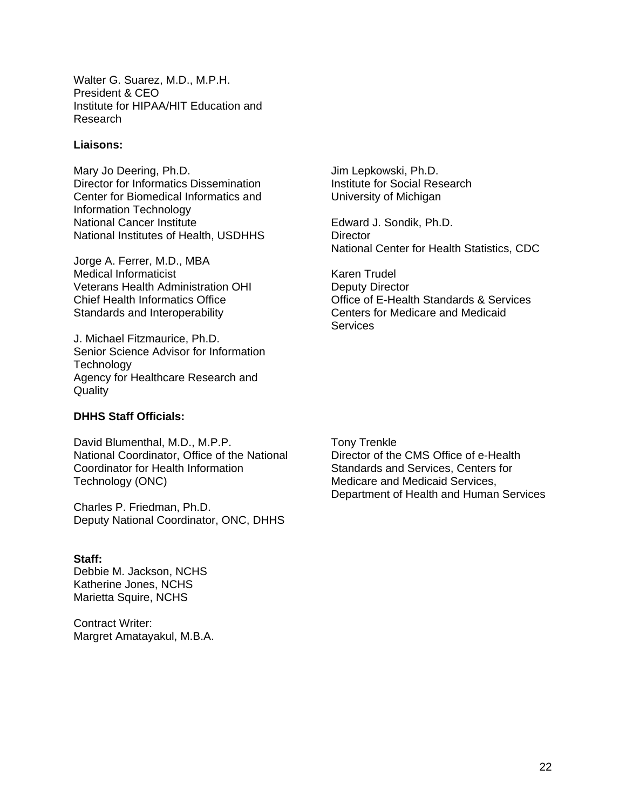Walter G. Suarez, M.D., M.P.H. President & CEO Institute for HIPAA/HIT Education and Research

#### **Liaisons:**

Mary Jo Deering, Ph.D. Director for Informatics Dissemination Center for Biomedical Informatics and Information Technology National Cancer Institute National Institutes of Health, USDHHS

Jorge A. Ferrer, M.D., MBA Medical Informaticist Veterans Health Administration OHI Chief Health Informatics Office Standards and Interoperability

J. Michael Fitzmaurice, Ph.D. Senior Science Advisor for Information **Technology** Agency for Healthcare Research and **Quality** 

#### **DHHS Staff Officials:**

David Blumenthal, M.D., M.P.P. National Coordinator, Office of the National Coordinator for Health Information Technology (ONC)

Charles P. Friedman, Ph.D. Deputy National Coordinator, ONC, DHHS

#### **Staff:**

Debbie M. Jackson, NCHS Katherine Jones, NCHS Marietta Squire, NCHS

Contract Writer: Margret Amatayakul, M.B.A. Jim Lepkowski, Ph.D. Institute for Social Research University of Michigan

Edward J. Sondik, Ph.D. **Director** National Center for Health Statistics, CDC

Karen Trudel Deputy Director Office of E-Health Standards & Services Centers for Medicare and Medicaid **Services** 

Tony Trenkle Director of the CMS Office of e-Health Standards and Services, Centers for Medicare and Medicaid Services, Department of Health and Human Services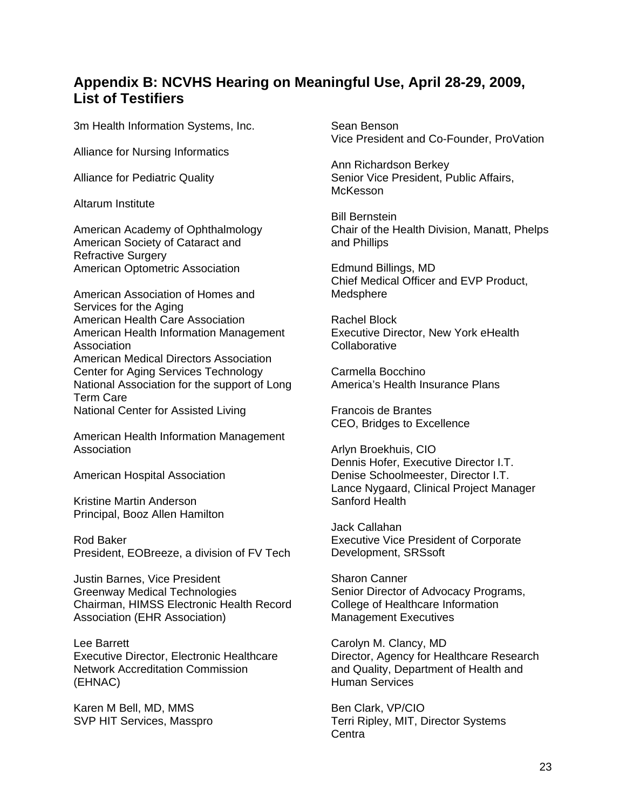## **Appendix B: NCVHS Hearing on Meaningful Use, April 28-29, 2009, List of Testifiers**

3m Health Information Systems, Inc.

Alliance for Nursing Informatics

Alliance for Pediatric Quality

Altarum Institute

American Academy of Ophthalmology American Society of Cataract and Refractive Surgery American Optometric Association

American Association of Homes and Services for the Aging American Health Care Association American Health Information Management Association American Medical Directors Association Center for Aging Services Technology National Association for the support of Long Term Care National Center for Assisted Living

American Health Information Management Association

American Hospital Association

Kristine Martin Anderson Principal, Booz Allen Hamilton

Rod Baker President, EOBreeze, a division of FV Tech

Justin Barnes, Vice President Greenway Medical Technologies Chairman, HIMSS Electronic Health Record Association (EHR Association)

Lee Barrett Executive Director, Electronic Healthcare Network Accreditation Commission (EHNAC)

Karen M Bell, MD, MMS SVP HIT Services, Masspro Sean Benson Vice President and Co-Founder, ProVation

Ann Richardson Berkey Senior Vice President, Public Affairs, **McKesson** 

Bill Bernstein Chair of the Health Division, Manatt, Phelps and Phillips

Edmund Billings, MD Chief Medical Officer and EVP Product, Medsphere

Rachel Block Executive Director, New York eHealth Collaborative

Carmella Bocchino America's Health Insurance Plans

Francois de Brantes CEO, Bridges to Excellence

Arlyn Broekhuis, CIO Dennis Hofer, Executive Director I.T. Denise Schoolmeester, Director I.T. Lance Nygaard, Clinical Project Manager Sanford Health

Jack Callahan Executive Vice President of Corporate Development, SRSsoft

Sharon Canner Senior Director of Advocacy Programs, College of Healthcare Information Management Executives

Carolyn M. Clancy, MD Director, Agency for Healthcare Research and Quality, Department of Health and Human Services

Ben Clark, VP/CIO Terri Ripley, MIT, Director Systems **Centra**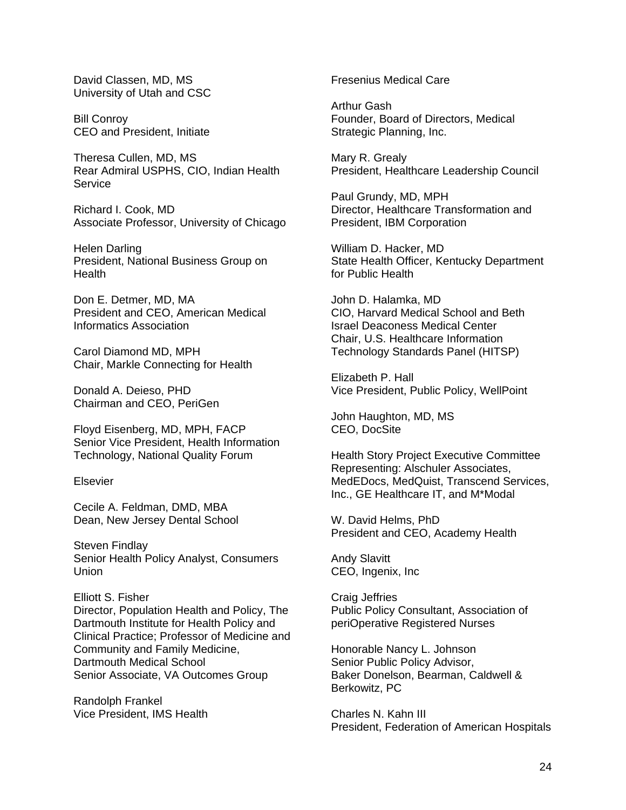David Classen, MD, MS University of Utah and CSC

Bill Conroy CEO and President, Initiate

Theresa Cullen, MD, MS Rear Admiral USPHS, CIO, Indian Health Service

Richard I. Cook, MD Associate Professor, University of Chicago

Helen Darling President, National Business Group on **Health** 

Don E. Detmer, MD, MA President and CEO, American Medical Informatics Association

Carol Diamond MD, MPH Chair, Markle Connecting for Health

Donald A. Deieso, PHD Chairman and CEO, PeriGen

Floyd Eisenberg, MD, MPH, FACP Senior Vice President, Health Information Technology, National Quality Forum

#### Elsevier

Cecile A. Feldman, DMD, MBA Dean, New Jersey Dental School

Steven Findlay Senior Health Policy Analyst, Consumers Union

Elliott S. Fisher Director, Population Health and Policy, The Dartmouth Institute for Health Policy and Clinical Practice; Professor of Medicine and Community and Family Medicine, Dartmouth Medical School Senior Associate, VA Outcomes Group

Randolph Frankel Vice President, IMS Health Fresenius Medical Care

Arthur Gash Founder, Board of Directors, Medical Strategic Planning, Inc.

Mary R. Grealy President, Healthcare Leadership Council

Paul Grundy, MD, MPH Director, Healthcare Transformation and President, IBM Corporation

William D. Hacker, MD State Health Officer, Kentucky Department for Public Health

John D. Halamka, MD CIO, Harvard Medical School and Beth Israel Deaconess Medical Center Chair, U.S. Healthcare Information Technology Standards Panel (HITSP)

Elizabeth P. Hall Vice President, Public Policy, WellPoint

John Haughton, MD, MS CEO, DocSite

Health Story Project Executive Committee Representing: Alschuler Associates, MedEDocs, MedQuist, Transcend Services, Inc., GE Healthcare IT, and M\*Modal

W. David Helms, PhD President and CEO, Academy Health

Andy Slavitt CEO, Ingenix, Inc

Craig Jeffries Public Policy Consultant, Association of periOperative Registered Nurses

Honorable Nancy L. Johnson Senior Public Policy Advisor, Baker Donelson, Bearman, Caldwell & Berkowitz, PC

Charles N. Kahn III President, Federation of American Hospitals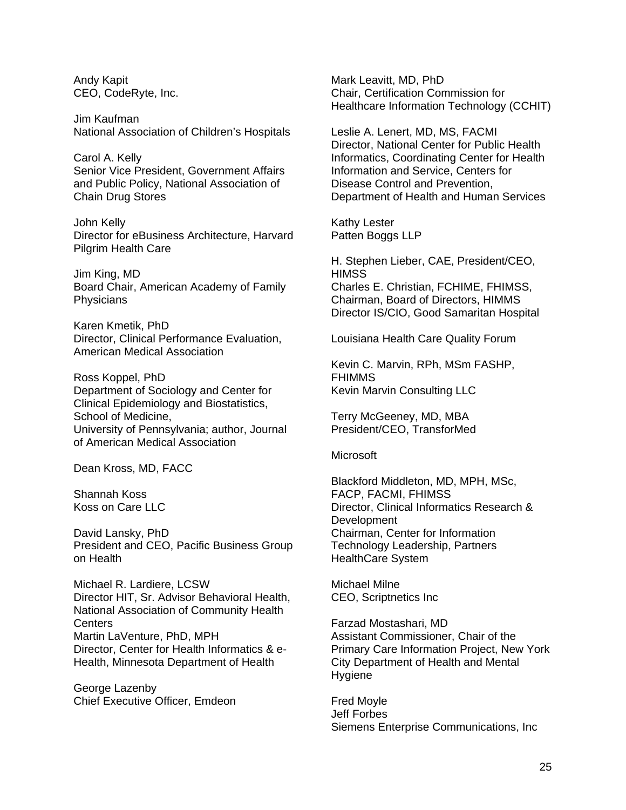Andy Kapit CEO, CodeRyte, Inc.

Jim Kaufman National Association of Children's Hospitals

Carol A. Kelly Senior Vice President, Government Affairs and Public Policy, National Association of Chain Drug Stores

John Kelly Director for eBusiness Architecture, Harvard Pilgrim Health Care

Jim King, MD Board Chair, American Academy of Family **Physicians** 

Karen Kmetik, PhD Director, Clinical Performance Evaluation, American Medical Association

Ross Koppel, PhD Department of Sociology and Center for Clinical Epidemiology and Biostatistics, School of Medicine, University of Pennsylvania; author, Journal of American Medical Association

Dean Kross, MD, FACC

Shannah Koss Koss on Care LLC

David Lansky, PhD President and CEO, Pacific Business Group on Health

Michael R. Lardiere, LCSW Director HIT, Sr. Advisor Behavioral Health, National Association of Community Health Centers Martin LaVenture, PhD, MPH Director, Center for Health Informatics & e-Health, Minnesota Department of Health

George Lazenby Chief Executive Officer, Emdeon Mark Leavitt, MD, PhD Chair, Certification Commission for Healthcare Information Technology (CCHIT)

Leslie A. Lenert, MD, MS, FACMI Director, National Center for Public Health Informatics, Coordinating Center for Health Information and Service, Centers for Disease Control and Prevention, Department of Health and Human Services

Kathy Lester Patten Boggs LLP

H. Stephen Lieber, CAE, President/CEO, **HIMSS** Charles E. Christian, FCHIME, FHIMSS, Chairman, Board of Directors, HIMMS Director IS/CIO, Good Samaritan Hospital

Louisiana Health Care Quality Forum

Kevin C. Marvin, RPh, MSm FASHP, FHIMMS Kevin Marvin Consulting LLC

Terry McGeeney, MD, MBA President/CEO, TransforMed

#### **Microsoft**

Blackford Middleton, MD, MPH, MSc, FACP, FACMI, FHIMSS Director, Clinical Informatics Research & **Development** Chairman, Center for Information Technology Leadership, Partners HealthCare System

Michael Milne CEO, Scriptnetics Inc

Farzad Mostashari, MD Assistant Commissioner, Chair of the Primary Care Information Project, New York City Department of Health and Mental Hygiene

Fred Moyle Jeff Forbes Siemens Enterprise Communications, Inc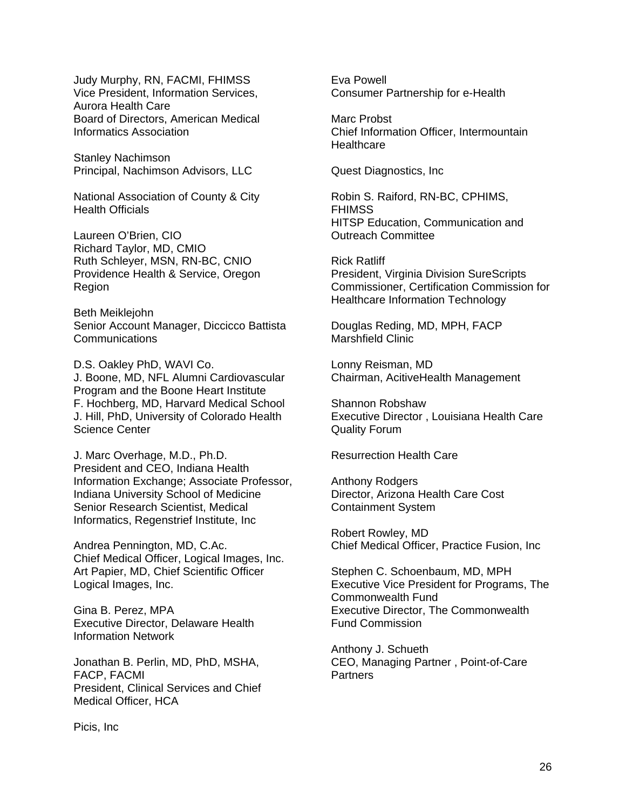Judy Murphy, RN, FACMI, FHIMSS Vice President, Information Services, Aurora Health Care Board of Directors, American Medical Informatics Association

Stanley Nachimson Principal, Nachimson Advisors, LLC

National Association of County & City Health Officials

Laureen O'Brien, CIO Richard Taylor, MD, CMIO Ruth Schleyer, MSN, RN-BC, CNIO Providence Health & Service, Oregon Region

Beth Meiklejohn Senior Account Manager, Diccicco Battista **Communications** 

D.S. Oakley PhD, WAVI Co. J. Boone, MD, NFL Alumni Cardiovascular Program and the Boone Heart Institute F. Hochberg, MD, Harvard Medical School J. Hill, PhD, University of Colorado Health Science Center

J. Marc Overhage, M.D., Ph.D. President and CEO, Indiana Health Information Exchange; Associate Professor, Indiana University School of Medicine Senior Research Scientist, Medical Informatics, Regenstrief Institute, Inc

Andrea Pennington, MD, C.Ac. Chief Medical Officer, Logical Images, Inc. Art Papier, MD, Chief Scientific Officer Logical Images, Inc.

Gina B. Perez, MPA Executive Director, Delaware Health Information Network

Jonathan B. Perlin, MD, PhD, MSHA, FACP, FACMI President, Clinical Services and Chief Medical Officer, HCA

Eva Powell Consumer Partnership for e-Health

Marc Probst Chief Information Officer, Intermountain **Healthcare** 

Quest Diagnostics, Inc

Robin S. Raiford, RN-BC, CPHIMS, FHIMSS HITSP Education, Communication and Outreach Committee

Rick Ratliff President, Virginia Division SureScripts Commissioner, Certification Commission for Healthcare Information Technology

Douglas Reding, MD, MPH, FACP Marshfield Clinic

Lonny Reisman, MD Chairman, AcitiveHealth Management

Shannon Robshaw Executive Director , Louisiana Health Care Quality Forum

Resurrection Health Care

Anthony Rodgers Director, Arizona Health Care Cost Containment System

Robert Rowley, MD Chief Medical Officer, Practice Fusion, Inc

Stephen C. Schoenbaum, MD, MPH Executive Vice President for Programs, The Commonwealth Fund Executive Director, The Commonwealth Fund Commission

Anthony J. Schueth CEO, Managing Partner , Point-of-Care **Partners** 

Picis, Inc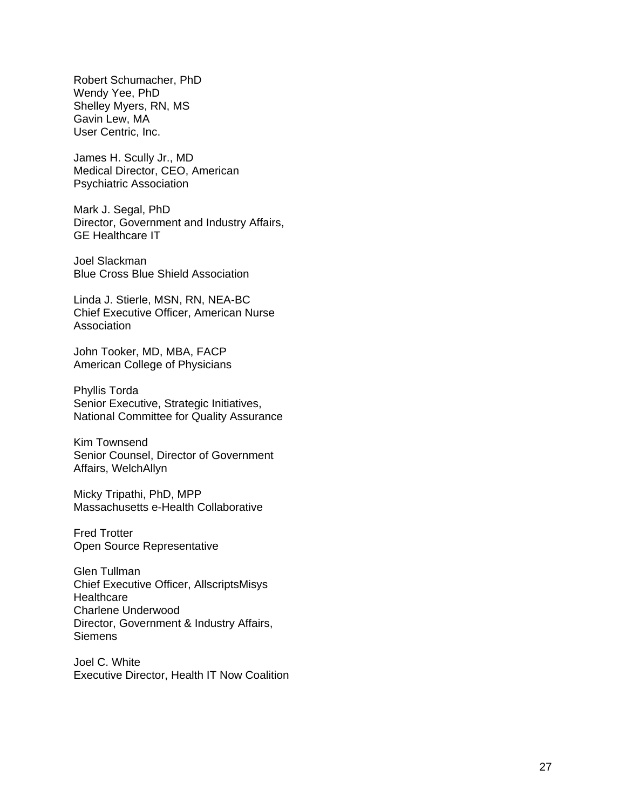Robert Schumacher, PhD Wendy Yee, PhD Shelley Myers, RN, MS Gavin Lew, MA User Centric, Inc.

James H. Scully Jr., MD Medical Director, CEO, American Psychiatric Association

Mark J. Segal, PhD Director, Government and Industry Affairs, GE Healthcare IT

Joel Slackman Blue Cross Blue Shield Association

Linda J. Stierle, MSN, RN, NEA-BC Chief Executive Officer, American Nurse **Association** 

John Tooker, MD, MBA, FACP American College of Physicians

Phyllis Torda Senior Executive, Strategic Initiatives, National Committee for Quality Assurance

Kim Townsend Senior Counsel, Director of Government Affairs, WelchAllyn

Micky Tripathi, PhD, MPP Massachusetts e-Health Collaborative

Fred Trotter Open Source Representative

Glen Tullman Chief Executive Officer, AllscriptsMisys **Healthcare** Charlene Underwood Director, Government & Industry Affairs, **Siemens** 

Joel C. White Executive Director, Health IT Now Coalition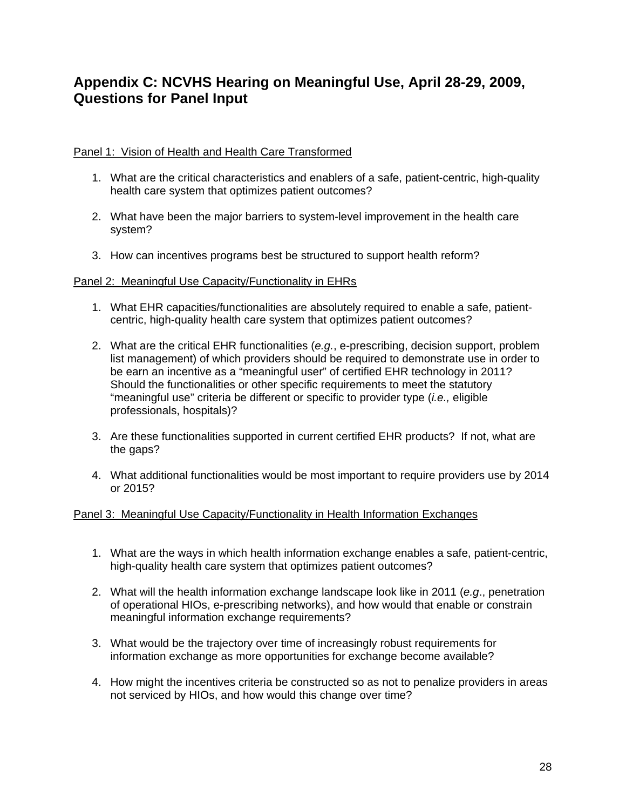# **Appendix C: NCVHS Hearing on Meaningful Use, April 28-29, 2009, Questions for Panel Input**

### Panel 1: Vision of Health and Health Care Transformed

- 1. What are the critical characteristics and enablers of a safe, patient-centric, high-quality health care system that optimizes patient outcomes?
- 2. What have been the major barriers to system-level improvement in the health care system?
- 3. How can incentives programs best be structured to support health reform?

### Panel 2: Meaningful Use Capacity/Functionality in EHRs

- 1. What EHR capacities/functionalities are absolutely required to enable a safe, patientcentric, high-quality health care system that optimizes patient outcomes?
- 2. What are the critical EHR functionalities (*e.g.*, e-prescribing, decision support, problem list management) of which providers should be required to demonstrate use in order to be earn an incentive as a "meaningful user" of certified EHR technology in 2011? Should the functionalities or other specific requirements to meet the statutory "meaningful use" criteria be different or specific to provider type (*i.e.,* eligible professionals, hospitals)?
- 3. Are these functionalities supported in current certified EHR products? If not, what are the gaps?
- 4. What additional functionalities would be most important to require providers use by 2014 or 2015?

### Panel 3: Meaningful Use Capacity/Functionality in Health Information Exchanges

- 1. What are the ways in which health information exchange enables a safe, patient-centric, high-quality health care system that optimizes patient outcomes?
- 2. What will the health information exchange landscape look like in 2011 (*e.g*., penetration of operational HIOs, e-prescribing networks), and how would that enable or constrain meaningful information exchange requirements?
- 3. What would be the trajectory over time of increasingly robust requirements for information exchange as more opportunities for exchange become available?
- 4. How might the incentives criteria be constructed so as not to penalize providers in areas not serviced by HIOs, and how would this change over time?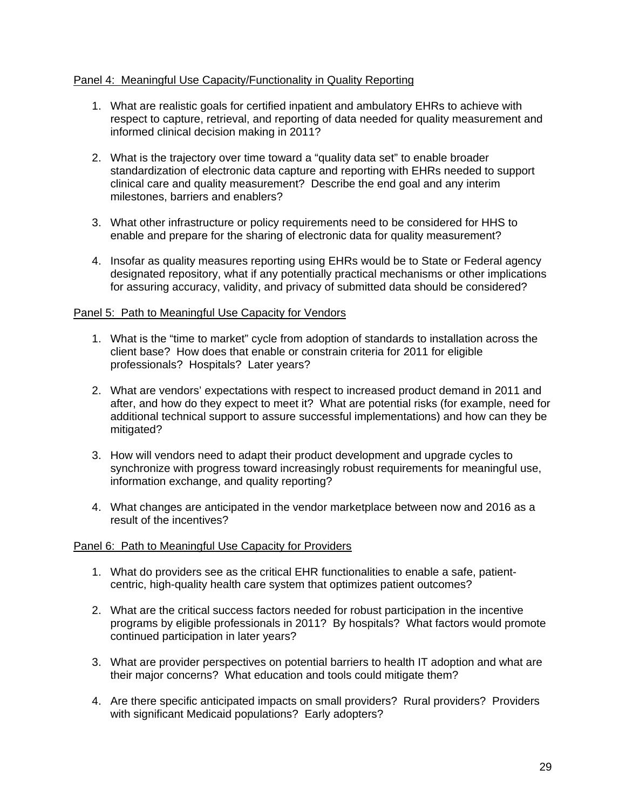### Panel 4: Meaningful Use Capacity/Functionality in Quality Reporting

- 1. What are realistic goals for certified inpatient and ambulatory EHRs to achieve with respect to capture, retrieval, and reporting of data needed for quality measurement and informed clinical decision making in 2011?
- 2. What is the trajectory over time toward a "quality data set" to enable broader standardization of electronic data capture and reporting with EHRs needed to support clinical care and quality measurement? Describe the end goal and any interim milestones, barriers and enablers?
- 3. What other infrastructure or policy requirements need to be considered for HHS to enable and prepare for the sharing of electronic data for quality measurement?
- 4. Insofar as quality measures reporting using EHRs would be to State or Federal agency designated repository, what if any potentially practical mechanisms or other implications for assuring accuracy, validity, and privacy of submitted data should be considered?

#### Panel 5: Path to Meaningful Use Capacity for Vendors

- 1. What is the "time to market" cycle from adoption of standards to installation across the client base? How does that enable or constrain criteria for 2011 for eligible professionals? Hospitals? Later years?
- 2. What are vendors' expectations with respect to increased product demand in 2011 and after, and how do they expect to meet it? What are potential risks (for example, need for additional technical support to assure successful implementations) and how can they be mitigated?
- 3. How will vendors need to adapt their product development and upgrade cycles to synchronize with progress toward increasingly robust requirements for meaningful use, information exchange, and quality reporting?
- 4. What changes are anticipated in the vendor marketplace between now and 2016 as a result of the incentives?

#### Panel 6: Path to Meaningful Use Capacity for Providers

- 1. What do providers see as the critical EHR functionalities to enable a safe, patientcentric, high-quality health care system that optimizes patient outcomes?
- 2. What are the critical success factors needed for robust participation in the incentive programs by eligible professionals in 2011? By hospitals? What factors would promote continued participation in later years?
- 3. What are provider perspectives on potential barriers to health IT adoption and what are their major concerns? What education and tools could mitigate them?
- 4. Are there specific anticipated impacts on small providers? Rural providers? Providers with significant Medicaid populations? Early adopters?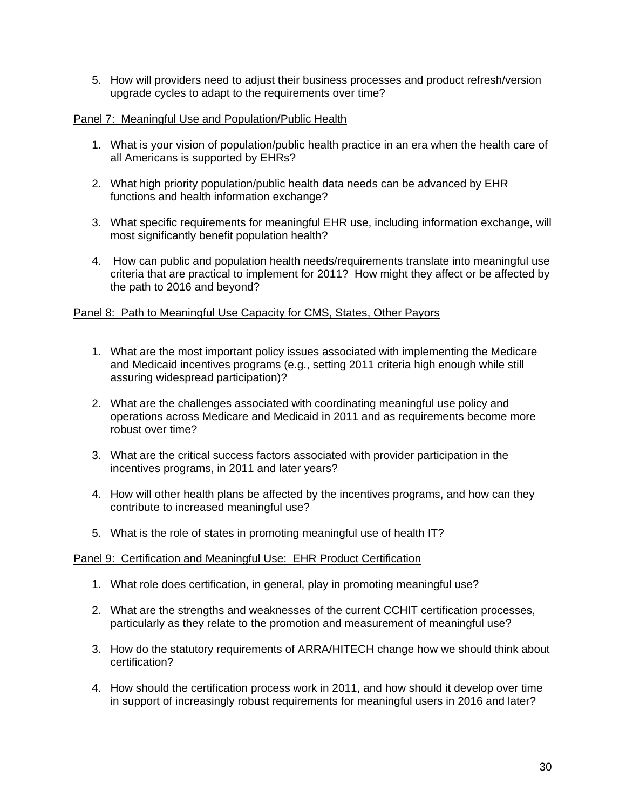5. How will providers need to adjust their business processes and product refresh/version upgrade cycles to adapt to the requirements over time?

#### Panel 7: Meaningful Use and Population/Public Health

- 1. What is your vision of population/public health practice in an era when the health care of all Americans is supported by EHRs?
- 2. What high priority population/public health data needs can be advanced by EHR functions and health information exchange?
- 3. What specific requirements for meaningful EHR use, including information exchange, will most significantly benefit population health?
- 4. How can public and population health needs/requirements translate into meaningful use criteria that are practical to implement for 2011? How might they affect or be affected by the path to 2016 and beyond?

### Panel 8: Path to Meaningful Use Capacity for CMS, States, Other Payors

- 1. What are the most important policy issues associated with implementing the Medicare and Medicaid incentives programs (e.g., setting 2011 criteria high enough while still assuring widespread participation)?
- 2. What are the challenges associated with coordinating meaningful use policy and operations across Medicare and Medicaid in 2011 and as requirements become more robust over time?
- 3. What are the critical success factors associated with provider participation in the incentives programs, in 2011 and later years?
- 4. How will other health plans be affected by the incentives programs, and how can they contribute to increased meaningful use?
- 5. What is the role of states in promoting meaningful use of health IT?

#### Panel 9: Certification and Meaningful Use: EHR Product Certification

- 1. What role does certification, in general, play in promoting meaningful use?
- 2. What are the strengths and weaknesses of the current CCHIT certification processes, particularly as they relate to the promotion and measurement of meaningful use?
- 3. How do the statutory requirements of ARRA/HITECH change how we should think about certification?
- 4. How should the certification process work in 2011, and how should it develop over time in support of increasingly robust requirements for meaningful users in 2016 and later?